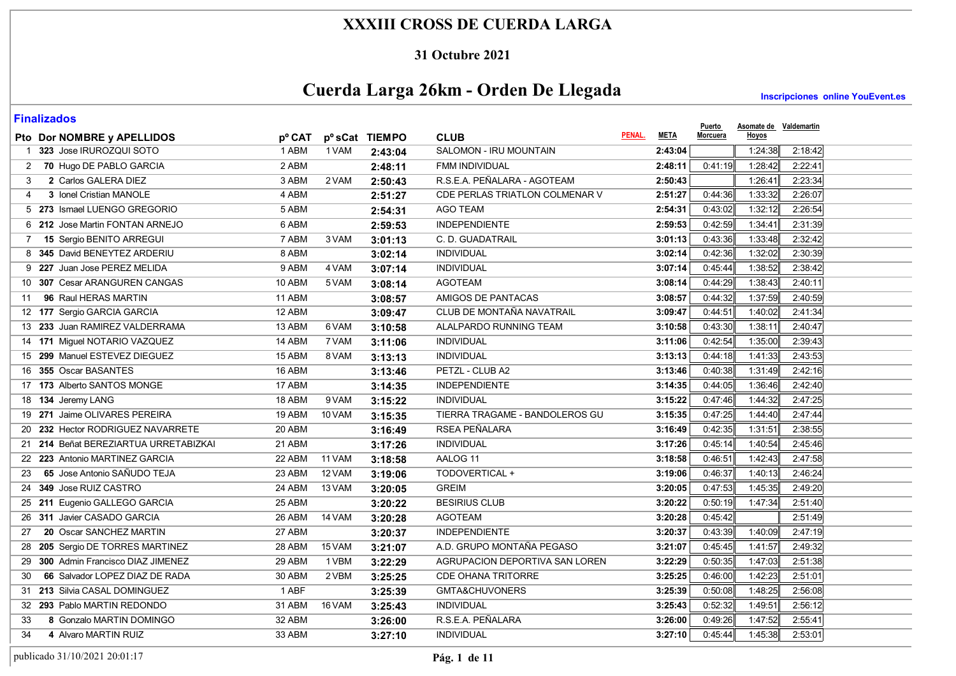#### **31 Octubre 2021**

# **Cuerda Larga 26km - Orden De Llegada**

**Inscripciones online YouEvent.es** 

| <b>Finalizados</b> |
|--------------------|
|                    |

| I IIIUIILUUVJ<br>Pto Dor NOMBRE y APELLIDOS | pº CAT |          | p <sup>o</sup> sCat TIEMPO | <b>CLUB</b>                           | <b>META</b><br>PENAL. | <b>Puerto</b><br><b>Morcuera</b> | Hoyos              | Asomate de Valdemartin |
|---------------------------------------------|--------|----------|----------------------------|---------------------------------------|-----------------------|----------------------------------|--------------------|------------------------|
| 1 323 Jose IRUROZQUI SOTO                   | 1 ABM  | 1 VAM    | 2:43:04                    | SALOMON - IRU MOUNTAIN                |                       | 2:43:04                          | 1:24:38            | 2:18:42                |
| 70 Hugo DE PABLO GARCIA                     | 2 ABM  |          | 2:48:11                    | FMM INDIVIDUAL                        |                       | 2:48:11                          | 0:41:19<br>1:28:42 | 2:22:41                |
| 2 Carlos GALERA DIEZ<br>3                   | 3 ABM  | 2 VAM    | 2:50:43                    | R.S.E.A. PEÑALARA - AGOTEAM           |                       | 2:50:43                          | 1:26:41            | 2:23:34                |
| 3 Ionel Cristian MANOLE<br>4                | 4 ABM  |          | 2:51:27                    | <b>CDE PERLAS TRIATLON COLMENAR V</b> |                       | 2:51:27                          | 1:33:32<br>0.44:36 | 2:26:07                |
| 5 273 Ismael LUENGO GREGORIO                | 5 ABM  |          | 2:54:31                    | <b>AGO TEAM</b>                       |                       | 2:54:31                          | 1:32:12<br>0:43:02 | 2:26:54                |
| 6 212 Jose Martin FONTAN ARNEJO             | 6 ABM  |          | 2:59:53                    | <b>INDEPENDIENTE</b>                  |                       | 2:59:53                          | 0.42.59<br>1:34:41 | 2:31:39                |
| <b>15 Sergio BENITO ARREGUI</b><br>7        | 7 ABM  | 3 VAM    | 3:01:13                    | C. D. GUADATRAIL                      |                       | 3:01:13                          | 0:43:36<br>1:33:48 | 2:32:42                |
| 8 345 David BENEYTEZ ARDERIU                | 8 ABM  |          | 3:02:14                    | <b>INDIVIDUAL</b>                     |                       | 3:02:14                          | 0:42:36<br>1:32:02 | 2:30:39                |
| 9 227 Juan Jose PEREZ MELIDA                | 9 ABM  | 4 VAM    | 3:07:14                    | <b>INDIVIDUAL</b>                     |                       | 3:07:14                          | 1:38:52<br>0:45.44 | 2:38:42                |
| 307 Cesar ARANGUREN CANGAS<br>10            | 10 ABM | 5 VAM    | 3:08:14                    | <b>AGOTEAM</b>                        |                       | 3:08:14                          | 0.44.29<br>1:38:43 | 2:40:11                |
| 96 Raul HERAS MARTIN<br>11                  | 11 ABM |          | 3:08:57                    | AMIGOS DE PANTACAS                    |                       | 3:08:57                          | 1:37:59<br>0:44.32 | 2:40:59                |
| 12 177 Sergio GARCIA GARCIA                 | 12 ABM |          | 3:09:47                    | CLUB DE MONTAÑA NAVATRAIL             |                       | 3:09:47                          | 1:40:02<br>0.44.51 | 2:41:34                |
| 13 233 Juan RAMIREZ VALDERRAMA              | 13 ABM | 6 VAM    | 3:10:58                    | ALALPARDO RUNNING TEAM                |                       | 3:10:58                          | 0.43:30<br>1:38:11 | 2:40:47                |
| 14 171 Miguel NOTARIO VAZQUEZ               | 14 ABM | 7 VAM    | 3:11:06                    | <b>INDIVIDUAL</b>                     |                       | 3:11:06                          | 0:42:54<br>1:35:00 | 2:39:43                |
| 15 299 Manuel ESTEVEZ DIEGUEZ               | 15 ABM | 8 VAM    | 3:13:13                    | <b>INDIVIDUAL</b>                     |                       | 3:13:13                          | 1:41:33<br>0.44.18 | 2:43:53                |
| 355 Oscar BASANTES<br>16                    | 16 ABM |          | 3:13:46                    | PETZL - CLUB A2                       |                       | 3:13:46                          | 0:40:38<br>1:31:49 | 2:42:16                |
| 17 173 Alberto SANTOS MONGE                 | 17 ABM |          | 3:14:35                    | <b>INDEPENDIENTE</b>                  |                       | 3:14:35                          | 0:44:05<br>1:36:46 | 2:42:40                |
| 18 134 Jeremy LANG                          | 18 ABM | 9 VAM    | 3:15:22                    | <b>INDIVIDUAL</b>                     |                       | 3:15:22                          | 0:47:46<br>1:44:32 | 2:47:25                |
| 19 271 Jaime OLIVARES PEREIRA               | 19 ABM | 10 VAM   | 3:15:35                    | TIERRA TRAGAME - BANDOLEROS GU        |                       | 3:15:35                          | 0.47.25<br>1.44:40 | 2:47:44                |
| 20 232 Hector RODRIGUEZ NAVARRETE           | 20 ABM |          | 3:16:49                    | RSEA PEÑALARA                         |                       | 3:16:49                          | 0:42:35<br>1:31:51 | 2:38:55                |
| 21 214 Beñat BEREZIARTUA URRETABIZKAI       | 21 ABM |          | 3:17:26                    | INDIVIDUAL                            |                       | 3:17:26                          | 0.45.14<br>1.40:54 | 2:45:46                |
| 22 223 Antonio MARTINEZ GARCIA              | 22 ABM | 11 VAM   | 3:18:58                    | AALOG 11                              |                       | 3:18:58                          | 0:46:51<br>1.42.43 | 2:47:58                |
| 65 Jose Antonio SAÑUDO TEJA<br>23           | 23 ABM | 12 VAM   | 3:19:06                    | TODOVERTICAL +                        |                       | 3:19:06                          | 0:46:37<br>1:40:13 | 2:46:24                |
| 349 Jose RUIZ CASTRO<br>24                  | 24 ABM | 13 VAM   | 3:20:05                    | <b>GREIM</b>                          |                       | 3:20:05                          | 0:47:53<br>1:45:35 | 2:49:20                |
| 25 211 Eugenio GALLEGO GARCIA               | 25 ABM |          | 3:20:22                    | <b>BESIRIUS CLUB</b>                  |                       | 3:20:22                          | 0:50:19<br>1:47:34 | 2:51:40                |
| 311 Javier CASADO GARCIA<br>26              | 26 ABM | 14 VAM   | 3:20:28                    | <b>AGOTEAM</b>                        |                       | 3:20:28                          | 0.45.42            | 2:51:49                |
| 20 Oscar SANCHEZ MARTIN<br>27               | 27 ABM |          | 3:20:37                    | <b>INDEPENDIENTE</b>                  |                       | 3:20:37                          | 1:40:09<br>0:43:39 | 2:47:19                |
| 205 Sergio DE TORRES MARTINEZ<br>28         | 28 ABM | 15 VAM   | 3:21:07                    | A.D. GRUPO MONTAÑA PEGASO             |                       | 3:21:07                          | 1:41:57<br>0:45:45 | 2:49:32                |
| 300 Admin Francisco DIAZ JIMENEZ<br>29      | 29 ABM | 1 VBM    | 3:22:29                    | AGRUPACION DEPORTIVA SAN LOREN        |                       | 3:22:29                          | 1:47:03<br>0:50:35 | 2:51:38                |
| 66 Salvador LOPEZ DIAZ DE RADA<br>30        | 30 ABM | 2 VBM    | 3:25:25                    | <b>CDE OHANA TRITORRE</b>             |                       | 3:25:25                          | 0.46:00<br>1:42:23 | 2:51:01                |
| 31 213 Silvia CASAL DOMINGUEZ               | 1 ABF  |          | 3:25:39                    | GMTA&CHUVONERS                        |                       | 3:25:39                          | 1:48:25<br>0:50:08 | 2:56:08                |
| 32 293 Pablo MARTIN REDONDO                 | 31 ABM | $16$ VAM | 3:25:43                    | <b>INDIVIDUAL</b>                     |                       | 3:25:43                          | 0:52:32<br>1:49:51 | 2:56:12                |
| 8 Gonzalo MARTIN DOMINGO<br>33              | 32 ABM |          | 3:26:00                    | R.S.E.A. PEÑALARA                     |                       | 3:26:00                          | 0:49:26<br>1:47:52 | 2:55:41                |
| 4 Alvaro MARTIN RUIZ<br>34                  | 33 ABM |          | 3:27:10                    | INDIVIDUAL                            |                       | 3:27:10                          | 0:45:44<br>1:45:38 | 2:53:01                |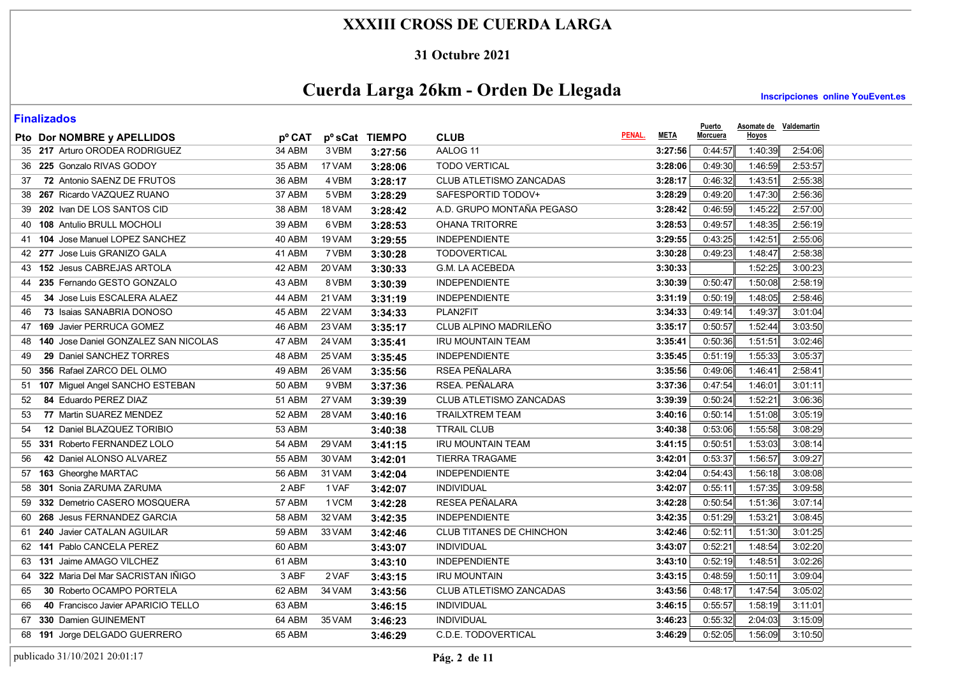#### **31 Octubre 2021**

# **Cuerda Larga 26km - Orden De Llegada**

**Inscripciones online YouEvent.es** 

| Pto Dor NOMBRE y APELLIDOS               | pº CAT        |        | pº sCat TIEMPO | <b>CLUB</b>                    | PENAL. | <b>META</b> | Puerto<br><b>Morcuera</b> | Asomate de Valdemartin<br>Hoyos |         |
|------------------------------------------|---------------|--------|----------------|--------------------------------|--------|-------------|---------------------------|---------------------------------|---------|
| 35 217 Arturo ORODEA RODRIGUEZ           | 34 ABM        | 3 VBM  | 3:27:56        | AALOG 11                       |        | 3:27:56     | 0.44.57                   | 1:40:39                         | 2:54:06 |
| 36 225 Gonzalo RIVAS GODOY               | 35 ABM        | 17 VAM | 3:28:06        | <b>TODO VERTICAL</b>           |        | 3:28:06     | 0:49:30                   | 1:46:59                         | 2:53:57 |
| 72 Antonio SAENZ DE FRUTOS<br>37         | 36 ABM        | 4 VBM  |                | CLUB ATLETISMO ZANCADAS        |        | 3:28:17     | 0:46:32                   | 1:43:51                         | 2:55:38 |
| 38 267 Ricardo VAZQUEZ RUANO             | 37 ABM        | 5 VBM  | 3:28:17        | SAFESPORTID TODOV+             |        | 3:28:29     | 0.49.20                   | 1:47:30                         | 2:56:36 |
| 39 202 Ivan DE LOS SANTOS CID            | 38 ABM        | 18 VAM | 3:28:29        | A.D. GRUPO MONTAÑA PEGASO      |        |             | 0:46:59                   | 1:45:22                         | 2:57:00 |
|                                          |               |        | 3:28:42        |                                |        | 3:28:42     |                           |                                 |         |
| 108 Antulio BRULL MOCHOLI<br>40          | 39 ABM        | 6 VBM  | 3:28:53        | <b>OHANA TRITORRE</b>          |        | 3:28:53     | 0:49:57                   | 1:48:35                         | 2:56:19 |
| 104 Jose Manuel LOPEZ SANCHEZ<br>41      | 40 ABM        | 19 VAM | 3:29:55        | <b>INDEPENDIENTE</b>           |        | 3:29:55     | 0:43:25                   | 1:42:51                         | 2:55:06 |
| 42 277 Jose Luis GRANIZO GALA            | 41 ABM        | 7 VBM  | 3:30:28        | <b>TODOVERTICAL</b>            |        | 3:30:28     | 0:49:23                   | 1:48:47                         | 2:58:38 |
| 43 152 Jesus CABREJAS ARTOLA             | 42 ABM        | 20 VAM | 3:30:33        | G.M. LA ACEBEDA                |        | 3:30:33     |                           | 1:52:25                         | 3:00:23 |
| 235 Fernando GESTO GONZALO<br>44         | 43 ABM        | 8 VBM  | 3:30:39        | <b>INDEPENDIENTE</b>           |        | 3:30:39     | 0:50:47                   | 1:50:08                         | 2:58:19 |
| 34 Jose Luis ESCALERA ALAEZ<br>45        | 44 ABM        | 21 VAM | 3:31:19        | <b>INDEPENDIENTE</b>           |        | 3:31:19     | 0:50:19                   | 1:48:05                         | 2:58:46 |
| 73 Isaias SANABRIA DONOSO<br>46          | 45 ABM        | 22 VAM | 3:34:33        | PLAN2FIT                       |        | 3:34:33     | 0.49.14                   | 1:49:37                         | 3.01.04 |
| 47 169 Javier PERRUCA GOMEZ              | 46 ABM        | 23 VAM | 3:35:17        | CLUB ALPINO MADRILEÑO          |        | 3:35:17     | 0:50:57                   | 1:52:44                         | 3:03:50 |
| 48 140 Jose Daniel GONZALEZ SAN NICOLAS  | 47 ABM        | 24 VAM | 3:35:41        | <b>IRU MOUNTAIN TEAM</b>       |        | 3:35:41     | 0:50:36                   | 1:51:51                         | 3:02:46 |
| 29 Daniel SANCHEZ TORRES<br>49           | 48 ABM        | 25 VAM | 3:35:45        | <b>INDEPENDIENTE</b>           |        | 3:35:45     | 0:51:19                   | 1:55:33                         | 3:05:37 |
| 356 Rafael ZARCO DEL OLMO<br>50          | 49 ABM        | 26 VAM | 3:35:56        | RSEA PEÑALARA                  |        | 3:35:56     | 0:49:06                   | 1:46:41                         | 2:58:41 |
| 107 Miguel Angel SANCHO ESTEBAN<br>51    | <b>50 ABM</b> | 9 VBM  | 3:37:36        | RSEA. PEÑALARA                 |        | 3:37:36     | 0.47:54                   | 1.46:01                         | 3:01:11 |
| 84 Eduardo PEREZ DIAZ<br>52              | <b>51 ABM</b> | 27 VAM | 3:39:39        | <b>CLUB ATLETISMO ZANCADAS</b> |        | 3:39:39     | 0:50:24                   | 1:52:21                         | 3:06:36 |
| 77 Martin SUAREZ MENDEZ<br>53            | 52 ABM        | 28 VAM | 3:40:16        | <b>TRAILXTREM TEAM</b>         |        | 3:40:16     | 0:50:14                   | 1:51:08                         | 3:05:19 |
| 12 Daniel BLAZQUEZ TORIBIO<br>54         | 53 ABM        |        | 3:40:38        | <b>TTRAIL CLUB</b>             |        | 3:40:38     | 0:53:06                   | 1:55:58                         | 3:08:29 |
| 331 Roberto FERNANDEZ LOLO<br>55         | 54 ABM        | 29 VAM | 3:41:15        | <b>IRU MOUNTAIN TEAM</b>       |        | 3:41:15     | 0:50:51                   | 1:53:03                         | 3:08:14 |
| 42 Daniel ALONSO ALVAREZ<br>56           | 55 ABM        | 30 VAM | 3:42:01        | <b>TIERRA TRAGAME</b>          |        | 3:42:01     | 0:53:37                   | 1:56:57                         | 3:09:27 |
| 57 163 Gheorghe MARTAC                   | 56 ABM        | 31 VAM | 3:42:04        | <b>INDEPENDIENTE</b>           |        | 3:42:04     | 0:54:43                   | 1:56:18                         | 3:08:08 |
| 58 301 Sonia ZARUMA ZARUMA               | 2 ABF         | 1 VAF  | 3:42:07        | <b>INDIVIDUAL</b>              |        | 3:42:07     | 0:55:11                   | 1:57:35                         | 3:09:58 |
| 59 332 Demetrio CASERO MOSQUERA          | 57 ABM        | 1 VCM  | 3:42:28        | RESEA PEÑALARA                 |        | 3:42:28     | 0:50:54                   | 1:51:36                         | 3 07:14 |
| 60 268 Jesus FERNANDEZ GARCIA            | 58 ABM        | 32 VAM | 3:42:35        | <b>INDEPENDIENTE</b>           |        | 3:42:35     | 0:51:29                   | 1:53:21                         | 3:08:45 |
| 240 Javier CATALAN AGUILAR<br>61         | 59 ABM        | 33 VAM | 3:42:46        | CLUB TITANES DE CHINCHON       |        | 3:42:46     | 0:52:11                   | 1:51:30                         | 3:01:25 |
| 141 Pablo CANCELA PEREZ<br>62            | 60 ABM        |        | 3:43:07        | <b>INDIVIDUAL</b>              |        | 3:43:07     | 0:52:21                   | 1:48:54                         | 3:02:20 |
| 131 Jaime AMAGO VILCHEZ<br>63            | 61 ABM        |        | 3:43:10        | <b>INDEPENDIENTE</b>           |        | 3:43:10     | 0:52:19                   | 1:48:51                         | 3:02:26 |
| 322 Maria Del Mar SACRISTAN IÑIGO<br>64  | 3 ABF         | 2 VAF  | 3:43:15        | <b>IRU MOUNTAIN</b>            |        | 3:43:15     | 0:48:59                   | 1:50:11                         | 3:09:04 |
| 30 Roberto OCAMPO PORTELA<br>65          | 62 ABM        | 34 VAM | 3:43:56        | CLUB ATLETISMO ZANCADAS        |        | 3:43:56     | 0:48:17                   | 1:47:54                         | 3.05.02 |
| 40 Francisco Javier APARICIO TELLO<br>66 | 63 ABM        |        | 3:46:15        | <b>INDIVIDUAL</b>              |        | 3:46:15     | 0:55:57                   | 1:58:19                         | 3:11:01 |
| 330 Damien GUINEMENT<br>67               | 64 ABM        | 35 VAM | 3:46:23        | <b>INDIVIDUAL</b>              |        | 3:46:23     | 0:55:32                   | 2:04:03                         | 3:15:09 |
| 68 191 Jorge DELGADO GUERRERO            | 65 ABM        |        | 3:46:29        | C.D.E. TODOVERTICAL            |        | 3:46:29     | 0:52:05                   | 1:56:09                         | 3:10:50 |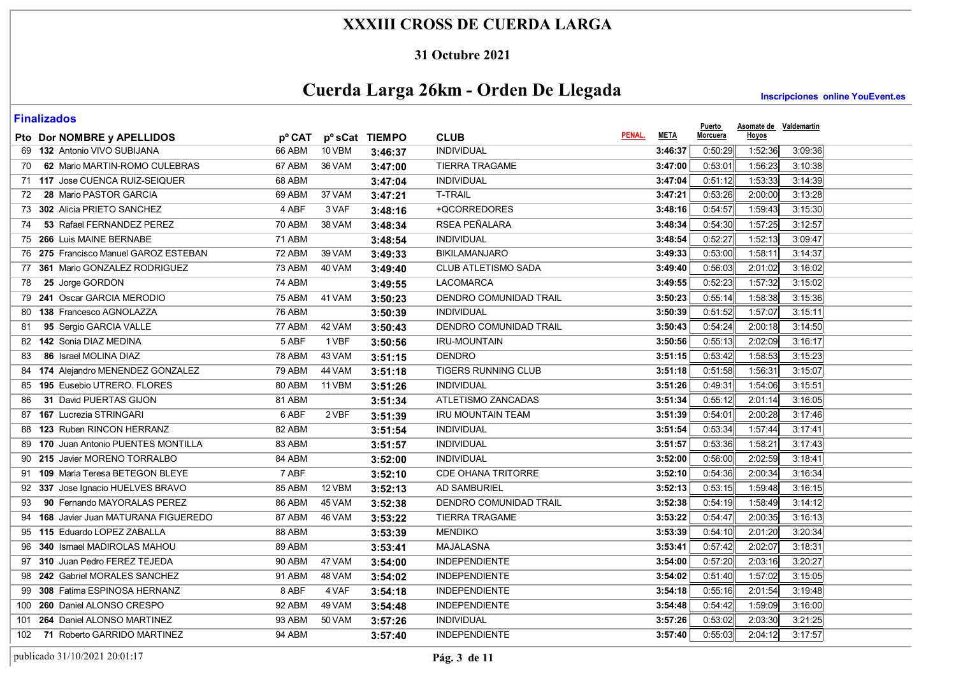### **31 Octubre 2021**

# **Cuerda Larga 26km - Orden De Llegada**

**Inscripciones online YouEvent.es** 

**Puerto** 

| Pto Dor NOMBRE y APELLIDOS               | <b>p</b> <sup>o</sup> CAT |        | pº sCat TIEMPO | <b>CLUB</b>                   | PENAL.<br><b>META</b> | <u>Puerto</u><br><b>Morcuera</b> | <b>Hoyos</b> | Asomate de Valdemartin |  |
|------------------------------------------|---------------------------|--------|----------------|-------------------------------|-----------------------|----------------------------------|--------------|------------------------|--|
| 69 132 Antonio VIVO SUBIJANA             | 66 ABM                    | 10 VBM | 3:46:37        | <b>INDIVIDUAL</b>             | 3:46:37               | 0:50:29                          | 1:52:36      | 3:09:36                |  |
| 62 Mario MARTIN-ROMO CULEBRAS<br>70      | 67 ABM                    | 36 VAM | 3:47:00        | <b>TIERRA TRAGAME</b>         | 3:47:00               | 0:53:01                          | 1:56:23      | 3:10:38                |  |
| 71 117 Jose CUENCA RUIZ-SEIQUER          | 68 ABM                    |        | 3:47:04        | <b>INDIVIDUAL</b>             | 3:47:04               | 0:51:12                          | 1:53:33      | 3:14:39                |  |
| 28 Mario PASTOR GARCIA<br>72             | 69 ABM                    | 37 VAM | 3:47:21        | <b>T-TRAIL</b>                | 3:47:21               | 0:53:26                          | 2:00:00      | 3:13:28                |  |
| 73 302 Alicia PRIETO SANCHEZ             | 4 ABF                     | 3 VAF  | 3:48:16        | +QCORREDORES                  | 3:48:16               | 0:54:57                          | 1:59:43      | 3:15:30                |  |
| 53 Rafael FERNANDEZ PEREZ<br>74          | 70 ABM                    | 38 VAM | 3:48:34        | RSEA PEÑALARA                 | 3:48:34               | 0:54:30                          | 1:57:25      | 3:12:57                |  |
| 75 266 Luis MAINE BERNABE                | 71 ABM                    |        | 3:48:54        | <b>INDIVIDUAL</b>             | 3:48:54               | 0:52:27                          | 1:52:13      | 3:09:47                |  |
| 275 Francisco Manuel GAROZ ESTEBAN<br>76 | 72 ABM                    | 39 VAM | 3:49:33        | <b>BIKILAMANJARO</b>          | 3:49:33               | 0:53:00                          | 1:58:11      | 3:14:37                |  |
| 361 Mario GONZALEZ RODRIGUEZ<br>77       | 73 ABM                    | 40 VAM | 3:49:40        | <b>CLUB ATLETISMO SADA</b>    | 3:49:40               | 0:56:03                          | 2:01:02      | 3:16:02                |  |
| 25 Jorge GORDON<br>78                    | 74 ABM                    |        | 3:49:55        | <b>LACOMARCA</b>              | 3:49:55               | 0:52:23                          | 1:57:32      | 3:15:02                |  |
| 241 Oscar GARCIA MERODIO<br>79           | 75 ABM                    | 41 VAM | 3:50:23        | DENDRO COMUNIDAD TRAIL        | 3:50:23               | 0:55:14                          | 1:58:38      | 3:15:36                |  |
| 138 Francesco AGNOLAZZA<br>80            | 76 ABM                    |        | 3:50:39        | <b>INDIVIDUAL</b>             | 3:50:39               | 0:51:52                          | 1:57:07      | 3:15.11                |  |
| 95 Sergio GARCIA VALLE<br>81             | 77 ABM                    | 42 VAM | 3:50:43        | DENDRO COMUNIDAD TRAIL        | 3:50:43               | 0:54:24                          | 2:00:18      | 3:14:50                |  |
| 82 142 Sonia DIAZ MEDINA                 | 5 ABF                     | 1 VBF  | 3:50:56        | <b>IRU-MOUNTAIN</b>           | 3:50:56               | 0:55:13                          | 2:02:09      | 3:16:17                |  |
| 86 Israel MOLINA DIAZ<br>83              | 78 ABM                    | 43 VAM | 3:51:15        | <b>DENDRO</b>                 | 3:51:15               | 0:53:42                          | 1:58:53      | 3:15.23                |  |
| 84 174 Alejandro MENENDEZ GONZALEZ       | 79 ABM                    | 44 VAM | 3:51:18        | <b>TIGERS RUNNING CLUB</b>    | 3:51:18               | 0:51:58                          | 1.56:31      | 3:15:07                |  |
| 195 Eusebio UTRERO, FLORES<br>85         | 80 ABM                    | 11 VBM | 3:51:26        | <b>INDIVIDUAL</b>             | 3:51:26               | 0:49:31                          | 1:54:06      | 3:15.51                |  |
| 31 David PUERTAS GIJON<br>86             | 81 ABM                    |        | 3:51:34        | ATLETISMO ZANCADAS            | 3:51:34               | 0:55:12                          | 2:01:14      | 3:16.05                |  |
| <b>167 Lucrezia STRINGARI</b><br>87      | 6 ABF                     | 2 VBF  | 3:51:39        | <b>IRU MOUNTAIN TEAM</b>      | 3:51:39               | 0:54:01                          | 2:00:28      | 3:17:46                |  |
| 123 Ruben RINCON HERRANZ<br>88           | 82 ABM                    |        | 3:51:54        | <b>INDIVIDUAL</b>             | 3:51:54               | 0:53:34                          | 1:57:44      | 3:17:41                |  |
| 170 Juan Antonio PUENTES MONTILLA<br>89  | 83 ABM                    |        | 3:51:57        | <b>INDIVIDUAL</b>             | 3:51:57               | 0:53:36                          | 1:58:21      | 3:17:43                |  |
| 215 Javier MORENO TORRALBO<br>90         | 84 ABM                    |        | 3:52:00        | <b>INDIVIDUAL</b>             | 3:52:00               | 0.56:00                          | 2:02:59      | 3.18.41                |  |
| 91 109 Maria Teresa BETEGON BLEYE        | 7 ABF                     |        | 3:52:10        | <b>CDE OHANA TRITORRE</b>     | 3:52:10               | 0:54:36                          | 2:00:34      | 3:16:34                |  |
| 92 337 Jose Ignacio HUELVES BRAVO        | 85 ABM                    | 12 VBM | 3:52:13        | <b>AD SAMBURIEL</b>           | 3:52:13               | 0:53:15                          | 1:59:48      | 3:16:15                |  |
| 90 Fernando MAYORALAS PEREZ<br>93        | 86 ABM                    | 45 VAM | 3:52:38        | <b>DENDRO COMUNIDAD TRAIL</b> | 3:52:38               | 0:54.19                          | 1:58:49      | 3:14:12                |  |
| 168 Javier Juan MATURANA FIGUEREDO<br>94 | 87 ABM                    | 46 VAM | 3:53:22        | <b>TIERRA TRAGAME</b>         | 3:53:22               | 0.54.47                          | 2:00:35      | 3:16:13                |  |
| 115 Eduardo LOPEZ ZABALLA<br>95          | 88 ABM                    |        | 3:53:39        | <b>MENDIKO</b>                | 3:53:39               | 0.54.10                          | 2:01:20      | 3:20:34                |  |
| <b>340 Ismael MADIROLAS MAHOU</b><br>96  | 89 ABM                    |        | 3:53:41        | <b>MAJALASNA</b>              | 3:53:41               | 0:57:42                          | 2:02:07      | 3:18:31                |  |
| 310 Juan Pedro FEREZ TEJEDA<br>97        | 90 ABM                    | 47 VAM | 3:54:00        | <b>INDEPENDIENTE</b>          | 3:54:00               | 0:57:20                          | 2:03:16      | 3:20:27                |  |
| 242 Gabriel MORALES SANCHEZ<br>98        | 91 ABM                    | 48 VAM | 3:54:02        | <b>INDEPENDIENTE</b>          | 3:54:02               | 0:51:40                          | 1:57:02      | 3:15.05                |  |
| 308 Fatima ESPINOSA HERNANZ<br>99        | 8 ABF                     | 4 VAF  | 3:54:18        | <b>INDEPENDIENTE</b>          | 3:54:18               | 0:55:16                          | 2:01:54      | 3:19:48                |  |
| 260 Daniel ALONSO CRESPO<br>100          | 92 ABM                    | 49 VAM | 3:54:48        | <b>INDEPENDIENTE</b>          | 3:54:48               | 0:54:42                          | 1:59:09      | 3:16:00                |  |
| 264 Daniel ALONSO MARTINEZ<br>101        | 93 ABM                    | 50 VAM | 3:57:26        | <b>INDIVIDUAL</b>             | 3:57:26               | 0:53:02                          | 2:03:30      | 3:21:25                |  |
| 71 Roberto GARRIDO MARTINEZ<br>102       | 94 ABM                    |        | 3:57:40        | <b>INDEPENDIENTE</b>          | 3:57:40               | 0:55:03                          | 2:04:12      | 3:17:57                |  |

publicado 31/10/2021 20:01:17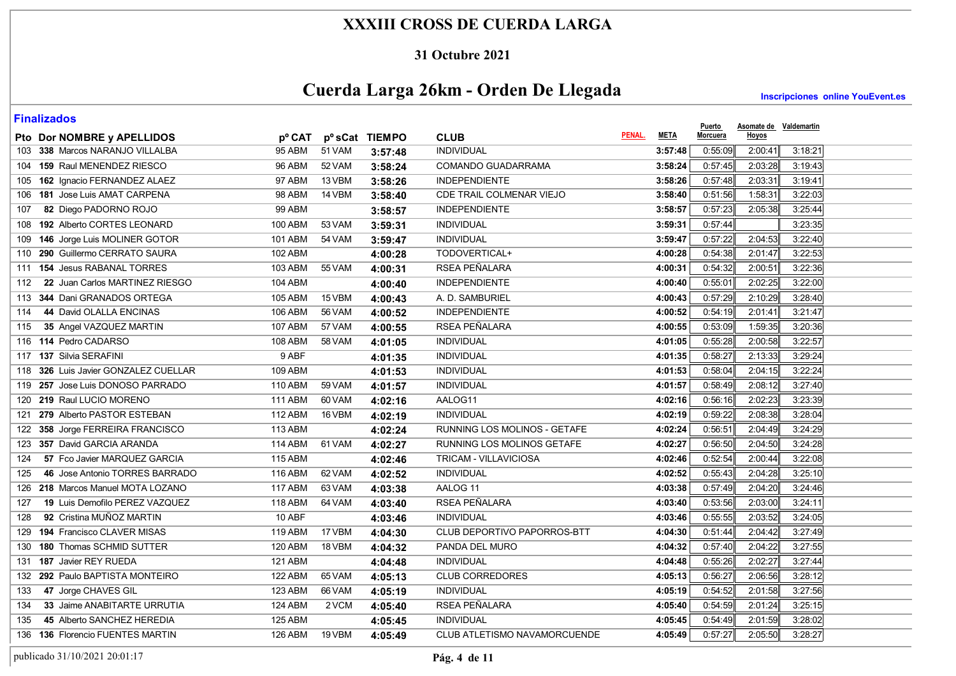### **31 Octubre 2021**

# **Cuerda Larga 26km - Orden De Llegada**

**Inscripciones online YouEvent.es** 

| Pto Dor NOMBRE y APELLIDOS              | pº CAT         |        | pº sCat TIEMPO | <b>CLUB</b>                  | PENAL.<br><b>META</b> | <u>Puerto</u><br>Morcuera | <b>Asomate de Valdemartin</b><br><b>Hoyos</b> |         |  |
|-----------------------------------------|----------------|--------|----------------|------------------------------|-----------------------|---------------------------|-----------------------------------------------|---------|--|
| 103 338 Marcos NARANJO VILLALBA         | 95 ABM         | 51 VAM | 3:57:48        | <b>INDIVIDUAL</b>            | 3:57:48               | 0:55:09                   | 2:00:41                                       | 3:18:21 |  |
| 104 159 Raul MENENDEZ RIESCO            | 96 ABM         | 52 VAM | 3:58:24        | COMANDO GUADARRAMA           | 3:58:24               | 0:57:45                   | 2:03:28                                       | 3:19:43 |  |
| 105 162 Ignacio FERNANDEZ ALAEZ         | 97 ABM         | 13 VBM | 3:58:26        | <b>INDEPENDIENTE</b>         | 3:58:26               | 0:57:48                   | 2:03:31                                       | 3:19:41 |  |
| 181 Jose Luis AMAT CARPENA<br>106       | 98 ABM         | 14 VBM | 3:58:40        | CDE TRAIL COLMENAR VIEJO     | 3:58:40               | 0:51:56                   | 1:58:31                                       | 3:22:03 |  |
| 82 Diego PADORNO ROJO<br>107            | <b>99 ABM</b>  |        | 3:58:57        | <b>INDEPENDIENTE</b>         | 3:58:57               | 0:57:23                   | 2:05:38                                       | 3:25:44 |  |
| 192 Alberto CORTES LEONARD<br>108       | 100 ABM        | 53 VAM | 3:59:31        | <b>INDIVIDUAL</b>            | 3:59:31               | 0:57:44                   |                                               | 3:23:35 |  |
| 146 Jorge Luis MOLINER GOTOR<br>109     | <b>101 ABM</b> | 54 VAM | 3:59:47        | <b>INDIVIDUAL</b>            | 3:59:47               | 0:57:22                   | 2:04:53                                       | 3:22:40 |  |
| 290 Guillermo CERRATO SAURA<br>110      | 102 ABM        |        | 4:00:28        | TODOVERTICAL+                | 4:00:28               | 0:54:38                   | 2:01:47                                       | 3:22:53 |  |
| <b>154 Jesus RABANAL TORRES</b><br>111  | 103 ABM        | 55 VAM | 4:00:31        | RSEA PEÑALARA                | 4:00:31               | 0:54:32                   | 2:00:51                                       | 3:22:36 |  |
| 22 Juan Carlos MARTINEZ RIESGO<br>112   | 104 ABM        |        | 4:00:40        | <b>INDEPENDIENTE</b>         | 4:00:40               | 0:55:01                   | 2:02:25                                       | 3:22:00 |  |
| 344 Dani GRANADOS ORTEGA<br>113         | 105 ABM        | 15 VBM | 4:00:43        | A. D. SAMBURIEL              | 4:00:43               | 0:57:29                   | 2:10:29                                       | 3:28:40 |  |
| 44 David OLALLA ENCINAS<br>114          | 106 ABM        | 56 VAM | 4:00:52        | <b>INDEPENDIENTE</b>         | 4:00:52               | 0:54:19                   | 2:01:41                                       | 3:21:47 |  |
| 35 Angel VAZQUEZ MARTIN<br>115          | <b>107 ABM</b> | 57 VAM | 4:00:55        | RSEA PEÑALARA                | 4:00:55               | 0:53:09                   | 1:59:35                                       | 3:20:36 |  |
| 116 114 Pedro CADARSO                   | 108 ABM        | 58 VAM | 4:01:05        | <b>INDIVIDUAL</b>            | 4:01:05               | 0:55:28                   | 2:00:58                                       | 3:22:57 |  |
| 117 137 Silvia SERAFINI                 | $9$ ABF        |        | 4:01:35        | <b>INDIVIDUAL</b>            | 4:01:35               | 0:58:27                   | 2:13:33                                       | 3:29:24 |  |
| 326 Luis Javier GONZALEZ CUELLAR<br>118 | 109 ABM        |        | 4:01:53        | <b>INDIVIDUAL</b>            | 4:01:53               | 0:58:04                   | 2:04:15                                       | 3:22:24 |  |
| 257 Jose Luis DONOSO PARRADO<br>119     | 110 ABM        | 59 VAM | 4:01:57        | <b>INDIVIDUAL</b>            | 4:01:57               | 0:58:49                   | 2:08:12                                       | 3:27:40 |  |
| 219 Raul LUCIO MORENO<br>120            | <b>111 ABM</b> | 60 VAM | 4:02:16        | AALOG11                      | 4:02:16               | 0:56:16                   | 2:02:23                                       | 3:23:39 |  |
| 279 Alberto PASTOR ESTEBAN<br>121       | <b>112 ABM</b> | 16 VBM | 4:02:19        | <b>INDIVIDUAL</b>            | 4:02:19               | 0:59:22                   | 2:08:38                                       | 3:28:04 |  |
| 358 Jorge FERREIRA FRANCISCO<br>122     | 113 ABM        |        | 4:02:24        | RUNNING LOS MOLINOS - GETAFE | 4:02:24               | 0:56:51                   | 2:04:49                                       | 3:24:29 |  |
| 357 David GARCIA ARANDA<br>123          | 114 ABM        | 61 VAM | 4:02:27        | RUNNING LOS MOLINOS GETAFE   | 4:02:27               | 0:56:50                   | 2:04:50                                       | 3:24:28 |  |
| 57 Fco Javier MARQUEZ GARCIA<br>124     | <b>115 ABM</b> |        | 4:02:46        | TRICAM - VILLAVICIOSA        | 4:02:46               | 0:52:54                   | 2:00:44                                       | 3:22:08 |  |
| 46 Jose Antonio TORRES BARRADO<br>125   | 116 ABM        | 62 VAM | 4:02:52        | <b>INDIVIDUAL</b>            | 4:02:52               | 0:55:43                   | 2:04:28                                       | 3:25:10 |  |
| 126 218 Marcos Manuel MOTA LOZANO       | <b>117 ABM</b> | 63 VAM | 4:03:38        | AALOG 11                     | 4:03:38               | 0.57.49                   | 2:04:20                                       | 3:24:46 |  |
| 19 Luis Demofilo PEREZ VAZQUEZ<br>127   | 118 ABM        | 64 VAM | 4:03:40        | <b>RSEA PEÑALARA</b>         | 4:03:40               | 0:53:56                   | 2:03:00                                       | 3:24:11 |  |
| 92 Cristina MUÑOZ MARTIN<br>128         | 10 ABF         |        | 4:03:46        | <b>INDIVIDUAL</b>            | 4:03:46               | 0:55:55                   | 2:03:52                                       | 3:24:05 |  |
| 194 Francisco CLAVER MISAS<br>129       | 119 ABM        | 17 VBM | 4:04:30        | CLUB DEPORTIVO PAPORROS-BTT  | 4:04:30               | 0:51:44                   | 2.04.42                                       | 3:27:49 |  |
| <b>180 Thomas SCHMID SUTTER</b><br>130  | 120 ABM        | 18 VBM | 4:04:32        | PANDA DEL MURO               | 4:04:32               | 0:57:40                   | 2:04:22                                       | 3:27:55 |  |
| 187 Javier REY RUEDA<br>131             | <b>121 ABM</b> |        | 4:04:48        | <b>INDIVIDUAL</b>            | 4:04:48               | 0:55:26                   | 2:02:27                                       | 3:27:44 |  |
| 292 Paulo BAPTISTA MONTEIRO<br>132      | <b>122 ABM</b> | 65 VAM | 4:05:13        | <b>CLUB CORREDORES</b>       | 4:05:13               | 0:56:27                   | 2:06:56                                       | 3:28:12 |  |
| 47 Jorge CHAVES GIL<br>133              | 123 ABM        | 66 VAM | 4:05:19        | <b>INDIVIDUAL</b>            | 4:05:19               | 0:54:52                   | 2:01:58                                       | 3:27:56 |  |
| 33 Jaime ANABITARTE URRUTIA<br>134      | <b>124 ABM</b> | 2 VCM  | 4:05:40        | <b>RSEA PEÑALARA</b>         | 4:05:40               | 0:54:59                   | 2:01:24                                       | 3:25:15 |  |
| 45 Alberto SANCHEZ HEREDIA<br>135       | 125 ABM        |        | 4:05:45        | <b>INDIVIDUAL</b>            | 4:05:45               | 0:54:49                   | 2:01:59                                       | 3:28:02 |  |
| 136 136 Florencio FUENTES MARTIN        | 126 ABM        | 19 VBM | 4:05:49        | CLUB ATLETISMO NAVAMORCUENDE | 4:05:49               | 0:57:27                   | 2:05:50                                       | 3:28:27 |  |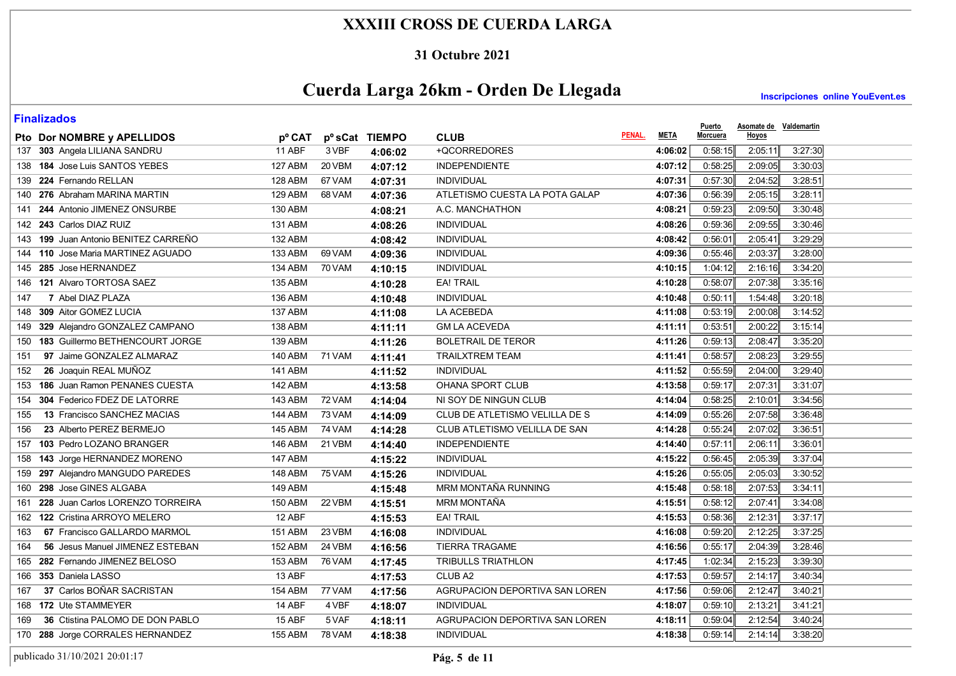#### **31 Octubre 2021**

# **Cuerda Larga 26km - Orden De Llegada**

**Inscripciones online YouEvent.es** 

| <u>i IIIulizuwuj</u>                   |                |          |                |                                |                       | <b>Puerto</b>   | Asomate de Valdemartin |         |  |
|----------------------------------------|----------------|----------|----------------|--------------------------------|-----------------------|-----------------|------------------------|---------|--|
| Pto Dor NOMBRE y APELLIDOS             | pº CAT         |          | pº sCat TIEMPO | <b>CLUB</b>                    | PENAL.<br><b>META</b> | <b>Morcuera</b> | Hoyos                  |         |  |
| 137 303 Angela LILIANA SANDRU          | 11 ABF         | 3 VBF    | 4:06:02        | +QCORREDORES                   | 4:06:02               | 0.58.15         | 2:05:11                | 3:27:30 |  |
| 138 184 Jose Luis SANTOS YEBES         | 127 ABM        | 20 VBM   | 4:07:12        | <b>INDEPENDIENTE</b>           | 4:07:12               | 0:58:25         | 2:09:05                | 3:30:03 |  |
| 139 224 Fernando RELLAN                | 128 ABM        | 67 VAM   | 4:07:31        | <b>INDIVIDUAL</b>              | 4:07:31               | 0:57:30         | 2:04:52                | 3:28:51 |  |
| 140 276 Abraham MARINA MARTIN          | 129 ABM        | 68 VAM   | 4:07:36        | ATLETISMO CUESTA LA POTA GALAP | 4:07:36               | 0:56:39         | 2:05:15                | 3:28:11 |  |
| 141 244 Antonio JIMENEZ ONSURBE        | <b>130 ABM</b> |          | 4:08:21        | A.C. MANCHATHON                | 4:08:21               | 0:59:23         | 2:09:50                | 3:30:48 |  |
| 142 243 Carlos DIAZ RUIZ               | 131 ABM        |          | 4:08:26        | <b>INDIVIDUAL</b>              | 4:08:26               | 0:59:36         | 2:09:55                | 3:30:46 |  |
| 143 199 Juan Antonio BENITEZ CARREÑO   | <b>132 ABM</b> |          | 4:08:42        | <b>INDIVIDUAL</b>              | 4:08:42               | 0:56:01         | 2:05:41                | 3:29:29 |  |
| 144 110 Jose Maria MARTINEZ AGUADO     | 133 ABM        | 69 VAM   | 4:09:36        | <b>INDIVIDUAL</b>              | 4:09:36               | 0:55:46         | 2:03:37                | 3:28:00 |  |
| 145 285 Jose HERNANDEZ                 | <b>134 ABM</b> | 70 VAM   | 4:10:15        | <b>INDIVIDUAL</b>              | 4:10:15               | 1:04:12         | 2:16:16                | 3:34:20 |  |
| 146 121 Alvaro TORTOSA SAEZ            | <b>135 ABM</b> |          | 4:10:28        | <b>EA! TRAIL</b>               | 4:10:28               | 0:58:07         | 2:07:38                | 3:35:16 |  |
| 7 Abel DIAZ PLAZA<br>147               | 136 ABM        |          | 4:10:48        | <b>INDIVIDUAL</b>              | 4:10:48               | 0:50:11         | 1:54:48                | 3:20:18 |  |
| 148 309 Aitor GOMEZ LUCIA              | <b>137 ABM</b> |          | 4:11:08        | LA ACEBEDA                     | 4:11:08               | 0:53:19         | 2:00:08                | 3:14:52 |  |
| 149 329 Alejandro GONZALEZ CAMPANO     | 138 ABM        |          | 4:11:11        | <b>GM LA ACEVEDA</b>           | 4:11:11               | 0:53:51         | 2:00:22                | 3:15:14 |  |
| 183 Guillermo BETHENCOURT JORGE<br>150 | 139 ABM        |          | 4:11:26        | <b>BOLETRAIL DE TEROR</b>      | 4:11:26               | 0:59:13         | 2:08:47                | 3:35:20 |  |
| 97 Jaime GONZALEZ ALMARAZ<br>151       | 140 ABM        | 71 VAM   | 4:11:41        | <b>TRAILXTREM TEAM</b>         | 4:11:41               | 0:58:57         | 2:08:23                | 3:29:55 |  |
| 26 Joaquin REAL MUÑOZ<br>152           | <b>141 ABM</b> |          | 4:11:52        | <b>INDIVIDUAL</b>              | 4:11:52               | 0:55:59         | 2:04:00                | 3:29:40 |  |
| 186 Juan Ramon PENANES CUESTA<br>153   | <b>142 ABM</b> |          | 4:13:58        | OHANA SPORT CLUB               | 4:13:58               | 0:59:17         | 2:07:31                | 3:31:07 |  |
| 304 Federico FDEZ DE LATORRE<br>154    | 143 ABM        | 72 VAM   | 4:14:04        | NI SOY DE NINGUN CLUB          | 4:14:04               | 0:58:25         | 2:10:01                | 3:34:56 |  |
| 13 Francisco SANCHEZ MACIAS<br>155     | 144 ABM        | 73 VAM   | 4:14:09        | CLUB DE ATLETISMO VELILLA DE S | 4:14:09               | 0:55:26         | 2:07:58                | 3:36:48 |  |
| 23 Alberto PEREZ BERMEJO<br>156        | <b>145 ABM</b> | 74 VAM   | 4:14:28        | CLUB ATLETISMO VELILLA DE SAN  | 4:14:28               | 0:55:24         | 2:07:02                | 3:36:51 |  |
| 157 103 Pedro LOZANO BRANGER           | <b>146 ABM</b> | 21 VBM   | 4:14:40        | <b>INDEPENDIENTE</b>           | 4:14:40               | 0:57:11         | 2:06:11                | 3:36:01 |  |
| 158 143 Jorge HERNANDEZ MORENO         | <b>147 ABM</b> |          | 4:15:22        | <b>INDIVIDUAL</b>              | 4:15:22               | 0:56:45         | 2:05:39                | 3:37:04 |  |
| 159 297 Alejandro MANGUDO PAREDES      | 148 ABM        | 75 VAM   | 4:15:26        | <b>INDIVIDUAL</b>              | 4:15:26               | 0:55:05         | 2:05:03                | 3:30:52 |  |
| 160 298 Jose GINES ALGABA              | <b>149 ABM</b> |          | 4:15:48        | MRM MONTAÑA RUNNING            | 4:15:48               | 0:58:18         | 2:07:53                | 3:34:11 |  |
| 161 228 Juan Carlos LORENZO TORREIRA   | <b>150 ABM</b> | 22 VBM   | 4:15:51        | <b>MRM MONTAÑA</b>             | 4:15:51               | 0:58:12         | 2:07:41                | 3:34:08 |  |
| 162 122 Cristina ARROYO MELERO         | 12 ABF         |          | 4:15:53        | <b>EA! TRAIL</b>               | 4:15:53               | 0:58:36         | 2:12:31                | 3:37:17 |  |
| 67 Francisco GALLARDO MARMOL<br>163    | <b>151 ABM</b> | $23$ VBM | 4:16:08        | <b>INDIVIDUAL</b>              | 4:16:08               | 0:59:20         | 2:12:25                | 3:37:25 |  |
| 56 Jesus Manuel JIMENEZ ESTEBAN<br>164 | 152 ABM        | 24 VBM   | 4:16:56        | TIERRA TRAGAME                 | 4:16:56               | 0:55:17         | 2:04:39                | 3:28:46 |  |
| 165 282 Fernando JIMENEZ BELOSO        | 153 ABM        | 76 VAM   | 4:17:45        | TRIBULLS TRIATHLON             | 4:17:45               | 1:02:34         | 2:15:23                | 3:39:30 |  |
| 166 353 Daniela LASSO                  | 13 ABF         |          | 4:17:53        | CLUB <sub>A2</sub>             | 4:17:53               | 0:59:57         | 2:14:17                | 3:40:34 |  |
| 37 Carlos BOÑAR SACRISTAN<br>167       | <b>154 ABM</b> | 77 VAM   | 4:17:56        | AGRUPACION DEPORTIVA SAN LOREN | 4:17:56               | 0:59:06         | 2:12:47                | 3:40:21 |  |
| 168 172 Ute STAMMEYER                  | 14 ABF         | 4 VBF    | 4:18:07        | <b>INDIVIDUAL</b>              | 4:18:07               | 0:59:10         | 2:13:21                | 3:41:21 |  |
| 36 Ctistina PALOMO DE DON PABLO<br>169 | 15 ABF         | 5 VAF    | 4:18:11        | AGRUPACION DEPORTIVA SAN LOREN | 4:18:11               | 0:59:04         | 2:12:54                | 3:40.24 |  |
| 170 288 Jorge CORRALES HERNANDEZ       | <b>155 ABM</b> | 78 VAM   | 4:18:38        | <b>INDIVIDUAL</b>              | 4:18:38               | 0:59:14         | 2:14:14                | 3:38:20 |  |
|                                        |                |          |                |                                |                       |                 |                        |         |  |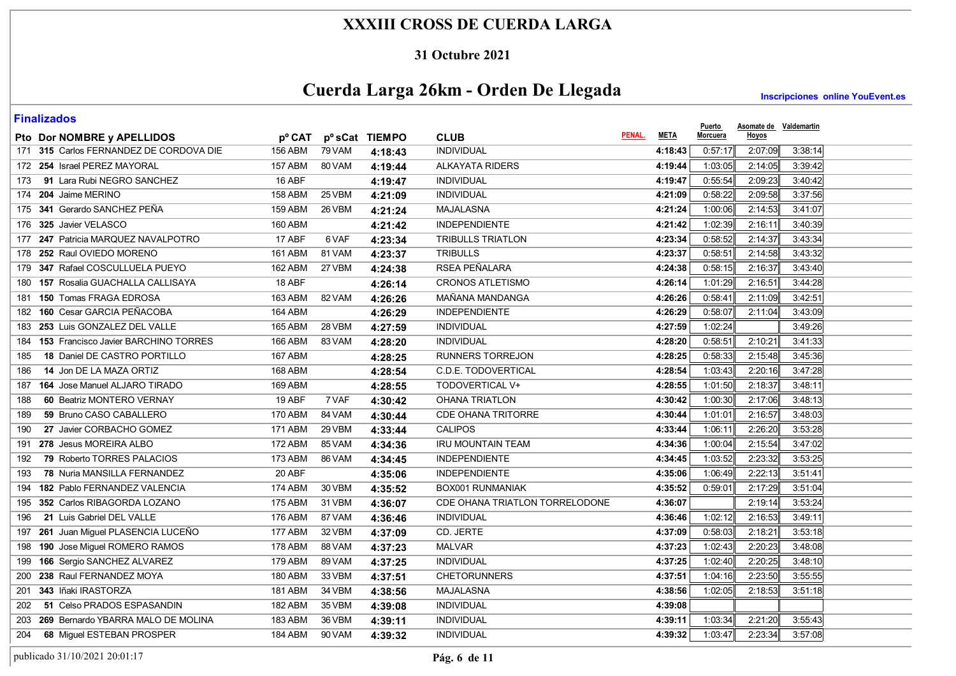### **31 Octubre 2021**

# **Cuerda Larga 26km - Orden De Llegada**

**Inscripciones online YouEvent.es** 

| Pto Dor NOMBRE y APELLIDOS                         | pº CAT         |        | p <sup>o</sup> sCat TIEMPO | <b>CLUB</b>                    | <b>META</b><br>PENAL. | <u>Puerto</u><br><u>Morcuera</u> | <b>Asomate de Valdemartin</b><br><b>Hoyos</b> |         |  |
|----------------------------------------------------|----------------|--------|----------------------------|--------------------------------|-----------------------|----------------------------------|-----------------------------------------------|---------|--|
| 171 315 Carlos FERNANDEZ DE CORDOVA DIE            | 156 ABM        | 79 VAM | 4:18:43                    | <b>INDIVIDUAL</b>              | 4:18:43               | 0:57:17                          | 2:07:09                                       | 3:38:14 |  |
| 172 254 Israel PEREZ MAYORAL                       | <b>157 ABM</b> | 80 VAM | 4:19:44                    | <b>ALKAYATA RIDERS</b>         | 4:19:44               | 1:03:05                          | 2:14:05                                       | 3:39:42 |  |
| 91 Lara Rubi NEGRO SANCHEZ<br>173                  | 16 ABF         |        | 4:19:47                    | <b>INDIVIDUAL</b>              | 4:19:47               | 0:55:54                          | 2:09:23                                       | 3:40:42 |  |
| 174 204 Jaime MERINO                               | 158 ABM        | 25 VBM | 4:21:09                    | <b>INDIVIDUAL</b>              | 4:21:09               | 0:58:22                          | 2:09:58                                       | 3:37:56 |  |
| 175 341 Gerardo SANCHEZ PEÑA                       | <b>159 ABM</b> | 26 VBM | 4:21:24                    | <b>MAJALASNA</b>               | 4:21:24               | 1:00:06                          | 2:14:53                                       | 3:41:07 |  |
| 176 325 Javier VELASCO                             | 160 ABM        |        | 4:21:42                    | <b>INDEPENDIENTE</b>           | 4:21:42               | 1:02:39                          | 2:16:11                                       | 3:40:39 |  |
| 177 247 Patricia MARQUEZ NAVALPOTRO                | 17 ABF         | 6 VAF  | 4:23:34                    | <b>TRIBULLS TRIATLON</b>       | 4:23:34               | 0:58:52                          | 2:14:37                                       | 3:43:34 |  |
| 178 252 Raul OVIEDO MORENO                         | <b>161 ABM</b> | 81 VAM | 4:23:37                    | <b>TRIBULLS</b>                | 4:23:37               | 0:58:51                          | 2:14:58                                       | 3:43:32 |  |
| 347 Rafael COSCULLUELA PUEYO<br>179                | 162 ABM        | 27 VBM | 4:24:38                    | RSEA PEÑALARA                  | 4:24:38               | 0:58:15                          | 2:16:37                                       | 3:43:40 |  |
| <b>157 Rosalia GUACHALLA CALLISAYA</b><br>180      | 18 ABF         |        | 4:26:14                    | <b>CRONOS ATLETISMO</b>        | 4:26:14               | 1:01:29                          | 2:16:51                                       | 3:44:28 |  |
| <b>150 Tomas FRAGA EDROSA</b><br>181               | 163 ABM        | 82 VAM | 4:26:26                    | MAÑANA MANDANGA                | 4:26:26               | 0:58.41                          | 2:11:09                                       | 3:42:51 |  |
| 160 Cesar GARCIA PEÑACOBA<br>182                   | <b>164 ABM</b> |        | 4:26:29                    | <b>INDEPENDIENTE</b>           | 4:26:29               | 0:58:07                          | 2:11:04                                       | 3:43:09 |  |
| 253 Luis GONZALEZ DEL VALLE<br>183                 | 165 ABM        | 28 VBM | 4:27:59                    | <b>INDIVIDUAL</b>              | 4:27:59               | 1:02:24                          |                                               | 3:49:26 |  |
| <b>153 Francisco Javier BARCHINO TORRES</b><br>184 | 166 ABM        | 83 VAM | 4:28:20                    | <b>INDIVIDUAL</b>              | 4:28:20               | 0:58:51                          | 2:10:21                                       | 3:41:33 |  |
| 18 Daniel DE CASTRO PORTILLO<br>185                | <b>167 ABM</b> |        | 4:28:25                    | <b>RUNNERS TORREJON</b>        | 4:28:25               | 0:58:33                          | 2.15.48                                       | 3:45:36 |  |
| 14 Jon DE LA MAZA ORTIZ<br>186                     | 168 ABM        |        | 4:28:54                    | <b>C.D.E. TODOVERTICAL</b>     | 4:28:54               | 1:03:43                          | 2:20:16                                       | 3:47:28 |  |
| 164 Jose Manuel ALJARO TIRADO<br>187               | 169 ABM        |        | 4:28:55                    | <b>TODOVERTICAL V+</b>         | 4:28:55               | 1:01:50                          | 2:18:37                                       | 3:48:11 |  |
| 60 Beatriz MONTERO VERNAY<br>188                   | 19 ABF         | 7 VAF  | 4:30:42                    | <b>OHANA TRIATLON</b>          | 4:30:42               | 1:00:30                          | 2:17:06                                       | 3:48:13 |  |
| 59 Bruno CASO CABALLERO<br>189                     | 170 ABM        | 84 VAM | 4:30:44                    | CDE OHANA TRITORRE             | 4:30:44               | 1:01:01                          | 2:16:57                                       | 3:48:03 |  |
| 27 Javier CORBACHO GOMEZ<br>190                    | 171 ABM        | 29 VBM | 4:33:44                    | <b>CALIPOS</b>                 | 4:33:44               | 1:06:11                          | 2:26:20                                       | 3:53:28 |  |
| 278 Jesus MOREIRA ALBO<br>191                      | 172 ABM        | 85 VAM | 4:34:36                    | <b>IRU MOUNTAIN TEAM</b>       | 4:34:36               | 1:00:04                          | 2:15:54                                       | 3:47:02 |  |
| 79 Roberto TORRES PALACIOS<br>192                  | 173 ABM        | 86 VAM | 4:34:45                    | <b>INDEPENDIENTE</b>           | 4:34:45               | 1:03:52                          | 2:23:32                                       | 3:53:25 |  |
| 78 Nuria MANSILLA FERNANDEZ<br>193                 | 20 ABF         |        | 4:35:06                    | <b>INDEPENDIENTE</b>           | 4:35:06               | 1:06:49                          | 2:22:13                                       | 3:51:41 |  |
| 182 Pablo FERNANDEZ VALENCIA<br>194                | 174 ABM        | 30 VBM | 4:35:52                    | <b>BOX001 RUNMANIAK</b>        | 4:35:52               | 0:59:01                          | 2:17:29                                       | 3:51:04 |  |
| 352 Carlos RIBAGORDA LOZANO<br>195                 | <b>175 ABM</b> | 31 VBM | 4:36:07                    | CDE OHANA TRIATLON TORRELODONE | 4:36:07               |                                  | 2:19:14                                       | 3:53:24 |  |
| 21 Luis Gabriel DEL VALLE<br>196                   | 176 ABM        | 87 VAM | 4:36:46                    | <b>INDIVIDUAL</b>              | 4:36:46               | 1:02:12                          | 2:16:53                                       | 3 49 11 |  |
| 261 Juan Miguel PLASENCIA LUCEÑO<br>197            | 177 ABM        | 32 VBM | 4:37:09                    | CD. JERTE                      | 4:37:09               | 0:58:03                          | 2:18:21                                       | 3:53:18 |  |
| 190 Jose Miguel ROMERO RAMOS<br>198                | 178 ABM        | 88 VAM | 4:37:23                    | <b>MALVAR</b>                  | 4:37:23               | 1:02:43                          | 2:20:23                                       | 3.48.08 |  |
| 166 Sergio SANCHEZ ALVAREZ<br>199                  | 179 ABM        | 89 VAM | 4:37:25                    | <b>INDIVIDUAL</b>              | 4:37:25               | 1:02:40                          | 2:20:25                                       | 3:48:10 |  |
| 238 Raul FERNANDEZ MOYA<br>200                     | 180 ABM        | 33 VBM | 4:37:51                    | <b>CHETORUNNERS</b>            | 4:37:51               | 1:04:16                          | 2:23:50                                       | 3:55:55 |  |
| 343 Iñaki IRASTORZA<br>201                         | <b>181 ABM</b> | 34 VBM | 4:38:56                    | <b>MAJALASNA</b>               | 4:38:56               | 1:02:05                          | 2:18:53                                       | 3:51:18 |  |
| 51 Celso PRADOS ESPASANDIN<br>202                  | <b>182 ABM</b> | 35 VBM | 4:39:08                    | INDIVIDUAL                     | 4:39:08               |                                  |                                               |         |  |
| 269 Bernardo YBARRA MALO DE MOLINA<br>203          | 183 ABM        | 36 VBM | 4:39:11                    | INDIVIDUAL                     | 4:39:11               | 1:03:34                          | 2:21:20                                       | 3:55:43 |  |
| 68 Miguel ESTEBAN PROSPER<br>204                   | 184 ABM        | 90 VAM | 4:39:32                    | <b>INDIVIDUAL</b>              | 4:39:32               | 1:03:47                          | 2:23:34                                       | 3:57:08 |  |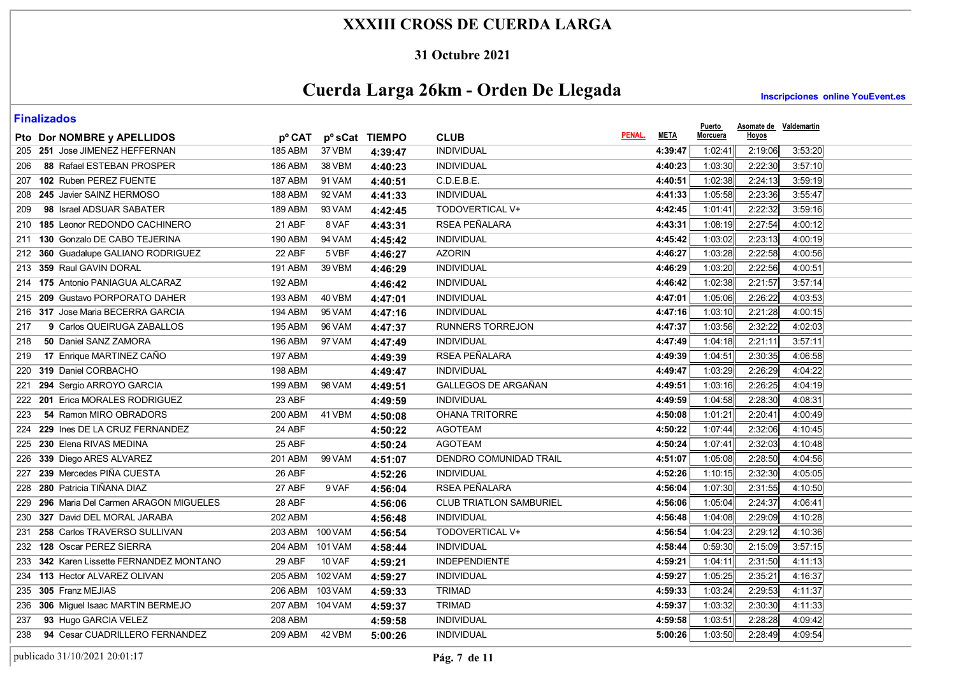### **31 Octubre 2021**

# **Cuerda Larga 26km - Orden De Llegada**

**Inscripciones online YouEvent.es** 

| Pto Dor NOMBRE y APELLIDOS               | pº CAT          |                | p <sup>o</sup> sCat TIEMPO | <b>CLUB</b>                    | PENAL.<br><b>META</b> | <u>Puerto</u><br>Morcuera | <b>Asomate de Valdemartin</b><br><b>Hoyos</b> |         |
|------------------------------------------|-----------------|----------------|----------------------------|--------------------------------|-----------------------|---------------------------|-----------------------------------------------|---------|
| 205 251 Jose JIMENEZ HEFFERNAN           | <b>185 ABM</b>  | 37 VBM         | 4:39:47                    | <b>INDIVIDUAL</b>              | 4:39:47               | 1:02:41                   | 2:19:06                                       | 3:53:20 |
| 88 Rafael ESTEBAN PROSPER<br>206         | 186 ABM         | 38 VBM         | 4:40:23                    | <b>INDIVIDUAL</b>              | 4:40:23               | 1:03:30                   | 2:22:30                                       | 3:57:10 |
| 207 102 Ruben PEREZ FUENTE               | <b>187 ABM</b>  | 91 VAM         | 4:40:51                    | C.D.E.B.E.                     | 4:40:51               | 1:02:38                   | 2:24:13                                       | 3:59:19 |
| 245 Javier SAINZ HERMOSO<br>208          | 188 ABM         | 92 VAM         | 4:41:33                    | <b>INDIVIDUAL</b>              | 4:41:33               | 1:05:58                   | 2:23:36                                       | 3:55:47 |
| 98 Israel ADSUAR SABATER<br>209          | 189 ABM         | 93 VAM         | 4:42:45                    | <b>TODOVERTICAL V+</b>         | 4:42:45               | 1:01:41                   | 2:22:32                                       | 3:59:16 |
| 210 185 Leonor REDONDO CACHINERO         | 21 ABF          | 8 VAF          | 4:43:31                    | RSEA PEÑALARA                  | 4:43:31               | 1:08:19                   | 2:27:54                                       | 4:00:12 |
| 130 Gonzalo DE CABO TEJERINA<br>211      | 190 ABM         | 94 VAM         | 4:45:42                    | <b>INDIVIDUAL</b>              | 4:45:42               | 1:03:02                   | 2:23:13                                       | 4:00:19 |
| 360 Guadalupe GALIANO RODRIGUEZ<br>212   | 22 ABF          | 5 VBF          | 4:46:27                    | <b>AZORIN</b>                  | 4:46:27               | 1:03:28                   | 2:22:58                                       | 4:00:56 |
| 359 Raul GAVIN DORAL<br>213              | 191 ABM         | 39 VBM         | 4:46:29                    | <b>INDIVIDUAL</b>              | 4:46:29               | 1:03:20                   | 2:22:56                                       | 4:00:51 |
| 214 175 Antonio PANIAGUA ALCARAZ         | <b>192 ABM</b>  |                | 4:46:42                    | <b>INDIVIDUAL</b>              | 4:46:42               | 1:02:38                   | 2.21:57                                       | 3:57:14 |
| 215 209 Gustavo PORPORATO DAHER          | 193 ABM         | 40 VBM         | 4:47:01                    | <b>INDIVIDUAL</b>              | 4:47:01               | 1:05:06                   | 2:26:22                                       | 4:03:53 |
| 216 317 Jose Maria BECERRA GARCIA        | 194 ABM         | 95 VAM         | 4:47:16                    | <b>INDIVIDUAL</b>              | 4:47:16               | 1:03:10                   | 2:21:28                                       | 4:00:15 |
| 9 Carlos QUEIRUGA ZABALLOS<br>217        | 195 ABM         | 96 VAM         | 4:47:37                    | <b>RUNNERS TORREJON</b>        | 4:47:37               | 1:03:56                   | 2:32:22                                       | 4:02:03 |
| 50 Daniel SANZ ZAMORA<br>218             | 196 ABM         | 97 VAM         | 4:47:49                    | <b>INDIVIDUAL</b>              | 4:47:49               | 1:04:18                   | 2:21:11                                       | 3:57:11 |
| 17 Enrique MARTINEZ CAÑO<br>219          | <b>197 ABM</b>  |                | 4:49:39                    | <b>RSEA PEÑALARA</b>           | 4:49:39               | 1:04:51                   | 2:30:35                                       | 4:06:58 |
| 220 319 Daniel CORBACHO                  | <b>198 ABM</b>  |                | 4:49:47                    | <b>INDIVIDUAL</b>              | 4:49:47               | 1:03:29                   | 2:26:29                                       | 4:04:22 |
| 294 Sergio ARROYO GARCIA<br>221          | 199 ABM         | <b>98 VAM</b>  | 4:49:51                    | <b>GALLEGOS DE ARGAÑAN</b>     | 4:49:51               | 1:03:16                   | 2:26:25                                       | 4:04:19 |
| 201 Erica MORALES RODRIGUEZ<br>222       | 23 ABF          |                | 4:49:59                    | <b>INDIVIDUAL</b>              | 4:49:59               | 1:04:58                   | 2:28:30                                       | 4 08 31 |
| 54 Ramon MIRO OBRADORS<br>223            | 200 ABM         | 41 VBM         | 4:50:08                    | OHANA TRITORRE                 | 4:50:08               | 1:01:21                   | 2:20:41                                       | 4:00:49 |
| 224 229 Ines DE LA CRUZ FERNANDEZ        | $24$ ABF        |                | 4:50:22                    | <b>AGOTEAM</b>                 | 4:50:22               | 1:07:44                   | 2:32:06                                       | 4:10:45 |
| 225 230 Elena RIVAS MEDINA               | 25 ABF          |                | 4:50:24                    | <b>AGOTEAM</b>                 | 4:50:24               | 1:07:41                   | 2:32:03                                       | 4:10:48 |
| 226 339 Diego ARES ALVAREZ               | 201 ABM         | 99 VAM         | 4:51:07                    | DENDRO COMUNIDAD TRAIL         | 4:51:07               | 1:05:08                   | 2:28:50                                       | 4:04:56 |
| 239 Mercedes PIÑA CUESTA<br>227          | 26 ABF          |                | 4:52:26                    | <b>INDIVIDUAL</b>              | 4:52:26               | 1:10:15                   | 2:32:30                                       | 4:05:05 |
| 228 280 Patricia TIÑANA DIAZ             | 27 ABF          | 9 VAF          | 4:56:04                    | RSEA PEÑALARA                  | 4:56:04               | 1:07:30                   | 2:31:55                                       | 4:10:50 |
| 229 296 Maria Del Carmen ARAGON MIGUELES | 28 ABF          |                | 4:56:06                    | <b>CLUB TRIATLON SAMBURIEL</b> | 4:56:06               | 1:05:04                   | 2:24:37                                       | 4:06:41 |
| 230 327 David DEL MORAL JARABA           | 202 ABM         |                | 4:56:48                    | <b>INDIVIDUAL</b>              | 4:56:48               | 1:04:08                   | 2:29:09                                       | 4:10:28 |
| 258 Carlos TRAVERSO SULLIVAN<br>231      | 203 ABM         | 100 VAM        | 4:56:54                    | TODOVERTICAL V+                | 4:56:54               | 1:04:23                   | 2:29:12                                       | 4:10:36 |
| 232 128 Oscar PEREZ SIERRA               | 204 ABM         | <b>101 VAM</b> | 4:58:44                    | <b>INDIVIDUAL</b>              | 4:58:44               | 0:59:30                   | 2:15:09                                       | 3:57:15 |
| 233 342 Karen Lissette FERNANDEZ MONTANO | 29 ABF          | 10 VAF         | 4:59:21                    | <b>INDEPENDIENTE</b>           | 4:59:21               | 1:04:11                   | 2:31:50                                       | 4:11:13 |
| 234 113 Hector ALVAREZ OLIVAN            | 205 ABM         | 102 VAM        | 4:59:27                    | <b>INDIVIDUAL</b>              | 4:59:27               | 1:05:25                   | 2:35:21                                       | 4:16:37 |
| 235 305 Franz MEJIAS                     | 206 ABM 103 VAM |                | 4:59:33                    | <b>TRIMAD</b>                  | 4:59:33               | 1:03:24                   | 2:29:53                                       | 4:11:37 |
| 236 306 Miguel Isaac MARTIN BERMEJO      | 207 ABM 104 VAM |                | 4:59:37                    | <b>TRIMAD</b>                  | 4:59:37               | 1:03:32                   | 2:30:30                                       | 4:11:33 |
| 93 Hugo GARCIA VELEZ<br>237              | 208 ABM         |                | 4:59:58                    | <b>INDIVIDUAL</b>              | 4:59:58               | 1:03:51                   | 2:28:28                                       | 4:09:42 |
| 94 Cesar CUADRILLERO FERNANDEZ<br>238    | 209 ABM         | 42 VBM         | 5:00:26                    | <b>INDIVIDUAL</b>              | 5:00:26               | 1:03:50                   | 2:28:49                                       | 4:09:54 |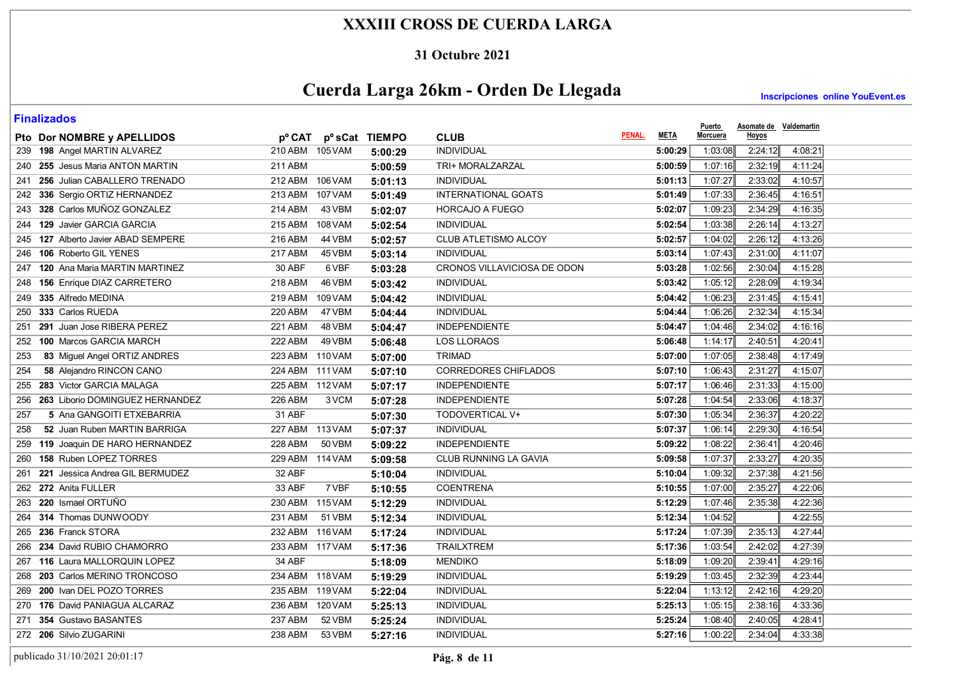#### **31 Octubre 2021**

# **Cuerda Larga 26km - Orden De Llegada**

**Inscripciones online YouEvent.es** 

| Hoyos<br>PENAL.<br><b>META</b><br>Morcuera<br><b>CLUB</b><br>Pto Dor NOMBRE y APELLIDOS<br>pº CAT pº sCat TIEMPO<br>INDIVIDUAL<br>2:24:12<br>239 198 Angel MARTIN ALVAREZ<br>210 ABM 105 VAM<br>1:03:08<br>4:08:21<br>5:00:29<br>5:00:29<br>240 255 Jesus Maria ANTON MARTIN<br>211 ABM<br>TRI+ MORALZARZAL<br>1:07:16<br>2:32:19<br>4:11:24<br>5:00:59<br>5:00:59<br>241 256 Julian CABALLERO TRENADO<br>106 VAM<br>INDIVIDUAL<br>1:07:27<br>2:33:02<br>212 ABM<br>5:01:13<br>4:10:57<br>5:01:13<br><b>INTERNATIONAL GOATS</b><br>2:36:45<br>242 336 Sergio ORTIZ HERNANDEZ<br>213 ABM<br><b>107 VAM</b><br>5:01:49<br>1:07:33<br>4:16:51<br>5:01:49<br>243 328 Carlos MUÑOZ GONZALEZ<br>214 ABM<br>43 VBM<br><b>HORCAJO A FUEGO</b><br>1:09:23<br>2:34:29<br>4:16:35<br>5:02:07<br>5:02:07<br>244 129 Javier GARCIA GARCIA<br>2:26:14<br>215 ABM<br><b>108 VAM</b><br><b>INDIVIDUAL</b><br>5:02:54<br>1:03:38<br>4:13:27<br>5:02:54<br>1:04:02<br>2:26:12<br>245 127 Alberto Javier ABAD SEMPERE<br>216 ABM<br><b>44 VBM</b><br>CLUB ATLETISMO ALCOY<br>5:02:57<br>4 13 26<br>5:02:57<br>2:31:00<br>246 106 Roberto GIL YENES<br><b>217 ABM</b><br>45 VBM<br><b>INDIVIDUAL</b><br>1:07:43<br>4:11:07<br>5:03:14<br>5:03:14<br>247 120 Ana Maria MARTIN MARTINEZ<br>30 ABF<br>6 VBF<br>CRONOS VILLAVICIOSA DE ODON<br>1:02:56<br>2:30:04<br>4:15:28<br>5:03:28<br>5:03:28<br>2:28:09<br>248 156 Enrique DIAZ CARRETERO<br>218 ABM<br>46 VBM<br><b>INDIVIDUAL</b><br>5:03:42<br>1:05:12<br>4:19:34<br>5:03:42<br><b>INDIVIDUAL</b><br>2:31:45<br>249 335 Alfredo MEDINA<br>219 ABM<br>109 VAM<br>5:04:42<br>1:06:23<br>4:15:41<br>5:04:42<br>2:32:34<br>250 333 Carlos RUEDA<br>220 ABM<br>47 VBM<br><b>INDIVIDUAL</b><br>1:06:26<br>4:15:34<br>5:04:44<br>5:04:44<br>251 291 Juan Jose RIBERA PEREZ<br><b>221 ABM</b><br>48 VBM<br><b>INDEPENDIENTE</b><br>1:04:46<br>2:34:02<br>5:04:47<br>5:04:47<br>4:16:16<br>252 100 Marcos GARCIA MARCH<br><b>222 ABM</b><br>49 VBM<br><b>LOS LLORAOS</b><br>1:14:17<br>2:40:51<br>5:06:48<br>5:06:48<br>4:20:41<br>83 Miguel Angel ORTIZ ANDRES<br>223 ABM 110 VAM<br><b>TRIMAD</b><br>1:07:05<br>2:38:48<br>4:17:49<br>5:07:00<br>253<br>5:07:00<br>224 ABM 111 VAM<br><b>CORREDORES CHIFLADOS</b><br>1:06:43<br>2:31:27<br>4:15:07<br>58 Alejandro RINCON CANO<br>5:07:10<br>254<br>5:07:10<br>255 283 Victor GARCIA MALAGA<br><b>INDEPENDIENTE</b><br>2:31:33<br>225 ABM 112 VAM<br>5:07:17<br>1:06:46<br>4:15:00<br>5:07:17<br>1:04:54<br>2:33:06<br>256 263 Liborio DOMINGUEZ HERNANDEZ<br><b>226 ABM</b><br>3 VCM<br><b>INDEPENDIENTE</b><br>5:07:28<br>4:18:37<br>5:07:28<br>31 ABF<br>2:36:37<br>4:20:22<br>5 Ana GANGOITI ETXEBARRIA<br>TODOVERTICAL V+<br>5:07:30<br>1:05:34<br>257<br>5:07:30<br>52 Juan Ruben MARTIN BARRIGA<br>227 ABM 113 VAM<br><b>INDIVIDUAL</b><br>5:07:37<br>1:06:14<br>2:29:30<br>4:16:54<br>258<br>5:07:37<br><b>228 ABM</b><br><b>INDEPENDIENTE</b><br>1:08:22<br>2:36:41<br>259 119 Joaquin DE HARO HERNANDEZ<br>50 VBM<br>5:09:22<br>4:20:46<br>5:09:22<br>260 158 Ruben LOPEZ TORRES<br>229 ABM 114 VAM<br>CLUB RUNNING LA GAVIA<br>5:09:58<br>1:07:37<br>2:33:27<br>4:20:35<br>5:09:58<br>32 ABF<br>1:09:32<br>2:37:38<br>261 221 Jessica Andrea GIL BERMUDEZ<br><b>INDIVIDUAL</b><br>5:10:04<br>4:21:56<br>5:10:04<br>262 272 Anita FULLER<br>33 ABF<br><b>COENTRENA</b><br>2:35:27<br>7 VBF<br>5:10:55<br>1:07:00<br>4:22:06<br>5:10:55<br>263 220 Ismael ORTUÑO<br>230 ABM<br>115 VAM<br><b>INDIVIDUAL</b><br>5:12:29<br>1:07:46<br>2.35.38<br>4:22:36<br>5:12:29<br>231 ABM<br>4:22:55<br>264 314 Thomas DUNWOODY<br>51 VBM<br><b>INDIVIDUAL</b><br>5:12:34<br>1:04:52<br>5:12:34<br>265 236 Franck STORA<br>232 ABM 116 VAM<br>INDIVIDUAL<br>1:07:39<br>2:35:13<br>4:27:44<br>5:17:24<br>5:17:24<br>2:42:02<br>266 234 David RUBIO CHAMORRO<br>233 ABM 117 VAM<br><b>TRAILXTREM</b><br>1:03:54<br>4:27:39<br>5:17:36<br>5:17:36<br>2:39:41<br>4:29:16<br>267 116 Laura MALLORQUIN LOPEZ<br>34 ABF<br><b>MENDIKO</b><br>1:09:20<br>5:18:09<br>5:18:09<br>2:32:39<br>268 203 Carlos MERINO TRONCOSO<br>234 ABM 118 VAM<br><b>INDIVIDUAL</b><br>1:03:45<br>4:23:44<br>5:19:29<br>5:19:29<br>269 200 Ivan DEL POZO TORRES<br>235 ABM 119 VAM<br><b>INDIVIDUAL</b><br>5:22:04<br>1:13:12<br>2:42:16<br>4:29:20<br>5:22:04<br>270 176 David PANIAGUA ALCARAZ<br>236 ABM 120 VAM<br><b>INDIVIDUAL</b><br>5:25:13<br>1:05:15<br>2:38:16<br>4:33:36<br>5:25:13<br>271 354 Gustavo BASANTES<br>237 ABM<br>52 VBM<br><b>INDIVIDUAL</b><br>1:08:40<br>2:40:05<br>5:25:24<br>4.28.41<br>5:25:24<br>272 206 Silvio ZUGARINI<br>238 ABM<br>53 VBM<br><b>INDIVIDUAL</b><br>5:27:16<br>1:00:22<br>2:34:04<br>5:27:16<br>4 33 38 | <u>i IIIulizuwuj</u> |  |  | <b>Puerto</b> | Asomate de Valdemartin |  |
|------------------------------------------------------------------------------------------------------------------------------------------------------------------------------------------------------------------------------------------------------------------------------------------------------------------------------------------------------------------------------------------------------------------------------------------------------------------------------------------------------------------------------------------------------------------------------------------------------------------------------------------------------------------------------------------------------------------------------------------------------------------------------------------------------------------------------------------------------------------------------------------------------------------------------------------------------------------------------------------------------------------------------------------------------------------------------------------------------------------------------------------------------------------------------------------------------------------------------------------------------------------------------------------------------------------------------------------------------------------------------------------------------------------------------------------------------------------------------------------------------------------------------------------------------------------------------------------------------------------------------------------------------------------------------------------------------------------------------------------------------------------------------------------------------------------------------------------------------------------------------------------------------------------------------------------------------------------------------------------------------------------------------------------------------------------------------------------------------------------------------------------------------------------------------------------------------------------------------------------------------------------------------------------------------------------------------------------------------------------------------------------------------------------------------------------------------------------------------------------------------------------------------------------------------------------------------------------------------------------------------------------------------------------------------------------------------------------------------------------------------------------------------------------------------------------------------------------------------------------------------------------------------------------------------------------------------------------------------------------------------------------------------------------------------------------------------------------------------------------------------------------------------------------------------------------------------------------------------------------------------------------------------------------------------------------------------------------------------------------------------------------------------------------------------------------------------------------------------------------------------------------------------------------------------------------------------------------------------------------------------------------------------------------------------------------------------------------------------------------------------------------------------------------------------------------------------------------------------------------------------------------------------------------------------------------------------------------------------------------------------------------------------------------------------------------------------------------------------------------------------------------------------------------------------------------------------------------------------------------------------------------------------------------------------------------------------------------------------------------------------------------------------------------------------------------------------------------------------------------------------------------------------------------------------------------------------------------------------------------------------------------------------------------------------------------------------|----------------------|--|--|---------------|------------------------|--|
|                                                                                                                                                                                                                                                                                                                                                                                                                                                                                                                                                                                                                                                                                                                                                                                                                                                                                                                                                                                                                                                                                                                                                                                                                                                                                                                                                                                                                                                                                                                                                                                                                                                                                                                                                                                                                                                                                                                                                                                                                                                                                                                                                                                                                                                                                                                                                                                                                                                                                                                                                                                                                                                                                                                                                                                                                                                                                                                                                                                                                                                                                                                                                                                                                                                                                                                                                                                                                                                                                                                                                                                                                                                                                                                                                                                                                                                                                                                                                                                                                                                                                                                                                                                                                                                                                                                                                                                                                                                                                                                                                                                                                                                                                                      |                      |  |  |               |                        |  |
|                                                                                                                                                                                                                                                                                                                                                                                                                                                                                                                                                                                                                                                                                                                                                                                                                                                                                                                                                                                                                                                                                                                                                                                                                                                                                                                                                                                                                                                                                                                                                                                                                                                                                                                                                                                                                                                                                                                                                                                                                                                                                                                                                                                                                                                                                                                                                                                                                                                                                                                                                                                                                                                                                                                                                                                                                                                                                                                                                                                                                                                                                                                                                                                                                                                                                                                                                                                                                                                                                                                                                                                                                                                                                                                                                                                                                                                                                                                                                                                                                                                                                                                                                                                                                                                                                                                                                                                                                                                                                                                                                                                                                                                                                                      |                      |  |  |               |                        |  |
|                                                                                                                                                                                                                                                                                                                                                                                                                                                                                                                                                                                                                                                                                                                                                                                                                                                                                                                                                                                                                                                                                                                                                                                                                                                                                                                                                                                                                                                                                                                                                                                                                                                                                                                                                                                                                                                                                                                                                                                                                                                                                                                                                                                                                                                                                                                                                                                                                                                                                                                                                                                                                                                                                                                                                                                                                                                                                                                                                                                                                                                                                                                                                                                                                                                                                                                                                                                                                                                                                                                                                                                                                                                                                                                                                                                                                                                                                                                                                                                                                                                                                                                                                                                                                                                                                                                                                                                                                                                                                                                                                                                                                                                                                                      |                      |  |  |               |                        |  |
|                                                                                                                                                                                                                                                                                                                                                                                                                                                                                                                                                                                                                                                                                                                                                                                                                                                                                                                                                                                                                                                                                                                                                                                                                                                                                                                                                                                                                                                                                                                                                                                                                                                                                                                                                                                                                                                                                                                                                                                                                                                                                                                                                                                                                                                                                                                                                                                                                                                                                                                                                                                                                                                                                                                                                                                                                                                                                                                                                                                                                                                                                                                                                                                                                                                                                                                                                                                                                                                                                                                                                                                                                                                                                                                                                                                                                                                                                                                                                                                                                                                                                                                                                                                                                                                                                                                                                                                                                                                                                                                                                                                                                                                                                                      |                      |  |  |               |                        |  |
|                                                                                                                                                                                                                                                                                                                                                                                                                                                                                                                                                                                                                                                                                                                                                                                                                                                                                                                                                                                                                                                                                                                                                                                                                                                                                                                                                                                                                                                                                                                                                                                                                                                                                                                                                                                                                                                                                                                                                                                                                                                                                                                                                                                                                                                                                                                                                                                                                                                                                                                                                                                                                                                                                                                                                                                                                                                                                                                                                                                                                                                                                                                                                                                                                                                                                                                                                                                                                                                                                                                                                                                                                                                                                                                                                                                                                                                                                                                                                                                                                                                                                                                                                                                                                                                                                                                                                                                                                                                                                                                                                                                                                                                                                                      |                      |  |  |               |                        |  |
|                                                                                                                                                                                                                                                                                                                                                                                                                                                                                                                                                                                                                                                                                                                                                                                                                                                                                                                                                                                                                                                                                                                                                                                                                                                                                                                                                                                                                                                                                                                                                                                                                                                                                                                                                                                                                                                                                                                                                                                                                                                                                                                                                                                                                                                                                                                                                                                                                                                                                                                                                                                                                                                                                                                                                                                                                                                                                                                                                                                                                                                                                                                                                                                                                                                                                                                                                                                                                                                                                                                                                                                                                                                                                                                                                                                                                                                                                                                                                                                                                                                                                                                                                                                                                                                                                                                                                                                                                                                                                                                                                                                                                                                                                                      |                      |  |  |               |                        |  |
|                                                                                                                                                                                                                                                                                                                                                                                                                                                                                                                                                                                                                                                                                                                                                                                                                                                                                                                                                                                                                                                                                                                                                                                                                                                                                                                                                                                                                                                                                                                                                                                                                                                                                                                                                                                                                                                                                                                                                                                                                                                                                                                                                                                                                                                                                                                                                                                                                                                                                                                                                                                                                                                                                                                                                                                                                                                                                                                                                                                                                                                                                                                                                                                                                                                                                                                                                                                                                                                                                                                                                                                                                                                                                                                                                                                                                                                                                                                                                                                                                                                                                                                                                                                                                                                                                                                                                                                                                                                                                                                                                                                                                                                                                                      |                      |  |  |               |                        |  |
|                                                                                                                                                                                                                                                                                                                                                                                                                                                                                                                                                                                                                                                                                                                                                                                                                                                                                                                                                                                                                                                                                                                                                                                                                                                                                                                                                                                                                                                                                                                                                                                                                                                                                                                                                                                                                                                                                                                                                                                                                                                                                                                                                                                                                                                                                                                                                                                                                                                                                                                                                                                                                                                                                                                                                                                                                                                                                                                                                                                                                                                                                                                                                                                                                                                                                                                                                                                                                                                                                                                                                                                                                                                                                                                                                                                                                                                                                                                                                                                                                                                                                                                                                                                                                                                                                                                                                                                                                                                                                                                                                                                                                                                                                                      |                      |  |  |               |                        |  |
|                                                                                                                                                                                                                                                                                                                                                                                                                                                                                                                                                                                                                                                                                                                                                                                                                                                                                                                                                                                                                                                                                                                                                                                                                                                                                                                                                                                                                                                                                                                                                                                                                                                                                                                                                                                                                                                                                                                                                                                                                                                                                                                                                                                                                                                                                                                                                                                                                                                                                                                                                                                                                                                                                                                                                                                                                                                                                                                                                                                                                                                                                                                                                                                                                                                                                                                                                                                                                                                                                                                                                                                                                                                                                                                                                                                                                                                                                                                                                                                                                                                                                                                                                                                                                                                                                                                                                                                                                                                                                                                                                                                                                                                                                                      |                      |  |  |               |                        |  |
|                                                                                                                                                                                                                                                                                                                                                                                                                                                                                                                                                                                                                                                                                                                                                                                                                                                                                                                                                                                                                                                                                                                                                                                                                                                                                                                                                                                                                                                                                                                                                                                                                                                                                                                                                                                                                                                                                                                                                                                                                                                                                                                                                                                                                                                                                                                                                                                                                                                                                                                                                                                                                                                                                                                                                                                                                                                                                                                                                                                                                                                                                                                                                                                                                                                                                                                                                                                                                                                                                                                                                                                                                                                                                                                                                                                                                                                                                                                                                                                                                                                                                                                                                                                                                                                                                                                                                                                                                                                                                                                                                                                                                                                                                                      |                      |  |  |               |                        |  |
|                                                                                                                                                                                                                                                                                                                                                                                                                                                                                                                                                                                                                                                                                                                                                                                                                                                                                                                                                                                                                                                                                                                                                                                                                                                                                                                                                                                                                                                                                                                                                                                                                                                                                                                                                                                                                                                                                                                                                                                                                                                                                                                                                                                                                                                                                                                                                                                                                                                                                                                                                                                                                                                                                                                                                                                                                                                                                                                                                                                                                                                                                                                                                                                                                                                                                                                                                                                                                                                                                                                                                                                                                                                                                                                                                                                                                                                                                                                                                                                                                                                                                                                                                                                                                                                                                                                                                                                                                                                                                                                                                                                                                                                                                                      |                      |  |  |               |                        |  |
|                                                                                                                                                                                                                                                                                                                                                                                                                                                                                                                                                                                                                                                                                                                                                                                                                                                                                                                                                                                                                                                                                                                                                                                                                                                                                                                                                                                                                                                                                                                                                                                                                                                                                                                                                                                                                                                                                                                                                                                                                                                                                                                                                                                                                                                                                                                                                                                                                                                                                                                                                                                                                                                                                                                                                                                                                                                                                                                                                                                                                                                                                                                                                                                                                                                                                                                                                                                                                                                                                                                                                                                                                                                                                                                                                                                                                                                                                                                                                                                                                                                                                                                                                                                                                                                                                                                                                                                                                                                                                                                                                                                                                                                                                                      |                      |  |  |               |                        |  |
|                                                                                                                                                                                                                                                                                                                                                                                                                                                                                                                                                                                                                                                                                                                                                                                                                                                                                                                                                                                                                                                                                                                                                                                                                                                                                                                                                                                                                                                                                                                                                                                                                                                                                                                                                                                                                                                                                                                                                                                                                                                                                                                                                                                                                                                                                                                                                                                                                                                                                                                                                                                                                                                                                                                                                                                                                                                                                                                                                                                                                                                                                                                                                                                                                                                                                                                                                                                                                                                                                                                                                                                                                                                                                                                                                                                                                                                                                                                                                                                                                                                                                                                                                                                                                                                                                                                                                                                                                                                                                                                                                                                                                                                                                                      |                      |  |  |               |                        |  |
|                                                                                                                                                                                                                                                                                                                                                                                                                                                                                                                                                                                                                                                                                                                                                                                                                                                                                                                                                                                                                                                                                                                                                                                                                                                                                                                                                                                                                                                                                                                                                                                                                                                                                                                                                                                                                                                                                                                                                                                                                                                                                                                                                                                                                                                                                                                                                                                                                                                                                                                                                                                                                                                                                                                                                                                                                                                                                                                                                                                                                                                                                                                                                                                                                                                                                                                                                                                                                                                                                                                                                                                                                                                                                                                                                                                                                                                                                                                                                                                                                                                                                                                                                                                                                                                                                                                                                                                                                                                                                                                                                                                                                                                                                                      |                      |  |  |               |                        |  |
|                                                                                                                                                                                                                                                                                                                                                                                                                                                                                                                                                                                                                                                                                                                                                                                                                                                                                                                                                                                                                                                                                                                                                                                                                                                                                                                                                                                                                                                                                                                                                                                                                                                                                                                                                                                                                                                                                                                                                                                                                                                                                                                                                                                                                                                                                                                                                                                                                                                                                                                                                                                                                                                                                                                                                                                                                                                                                                                                                                                                                                                                                                                                                                                                                                                                                                                                                                                                                                                                                                                                                                                                                                                                                                                                                                                                                                                                                                                                                                                                                                                                                                                                                                                                                                                                                                                                                                                                                                                                                                                                                                                                                                                                                                      |                      |  |  |               |                        |  |
|                                                                                                                                                                                                                                                                                                                                                                                                                                                                                                                                                                                                                                                                                                                                                                                                                                                                                                                                                                                                                                                                                                                                                                                                                                                                                                                                                                                                                                                                                                                                                                                                                                                                                                                                                                                                                                                                                                                                                                                                                                                                                                                                                                                                                                                                                                                                                                                                                                                                                                                                                                                                                                                                                                                                                                                                                                                                                                                                                                                                                                                                                                                                                                                                                                                                                                                                                                                                                                                                                                                                                                                                                                                                                                                                                                                                                                                                                                                                                                                                                                                                                                                                                                                                                                                                                                                                                                                                                                                                                                                                                                                                                                                                                                      |                      |  |  |               |                        |  |
|                                                                                                                                                                                                                                                                                                                                                                                                                                                                                                                                                                                                                                                                                                                                                                                                                                                                                                                                                                                                                                                                                                                                                                                                                                                                                                                                                                                                                                                                                                                                                                                                                                                                                                                                                                                                                                                                                                                                                                                                                                                                                                                                                                                                                                                                                                                                                                                                                                                                                                                                                                                                                                                                                                                                                                                                                                                                                                                                                                                                                                                                                                                                                                                                                                                                                                                                                                                                                                                                                                                                                                                                                                                                                                                                                                                                                                                                                                                                                                                                                                                                                                                                                                                                                                                                                                                                                                                                                                                                                                                                                                                                                                                                                                      |                      |  |  |               |                        |  |
|                                                                                                                                                                                                                                                                                                                                                                                                                                                                                                                                                                                                                                                                                                                                                                                                                                                                                                                                                                                                                                                                                                                                                                                                                                                                                                                                                                                                                                                                                                                                                                                                                                                                                                                                                                                                                                                                                                                                                                                                                                                                                                                                                                                                                                                                                                                                                                                                                                                                                                                                                                                                                                                                                                                                                                                                                                                                                                                                                                                                                                                                                                                                                                                                                                                                                                                                                                                                                                                                                                                                                                                                                                                                                                                                                                                                                                                                                                                                                                                                                                                                                                                                                                                                                                                                                                                                                                                                                                                                                                                                                                                                                                                                                                      |                      |  |  |               |                        |  |
|                                                                                                                                                                                                                                                                                                                                                                                                                                                                                                                                                                                                                                                                                                                                                                                                                                                                                                                                                                                                                                                                                                                                                                                                                                                                                                                                                                                                                                                                                                                                                                                                                                                                                                                                                                                                                                                                                                                                                                                                                                                                                                                                                                                                                                                                                                                                                                                                                                                                                                                                                                                                                                                                                                                                                                                                                                                                                                                                                                                                                                                                                                                                                                                                                                                                                                                                                                                                                                                                                                                                                                                                                                                                                                                                                                                                                                                                                                                                                                                                                                                                                                                                                                                                                                                                                                                                                                                                                                                                                                                                                                                                                                                                                                      |                      |  |  |               |                        |  |
|                                                                                                                                                                                                                                                                                                                                                                                                                                                                                                                                                                                                                                                                                                                                                                                                                                                                                                                                                                                                                                                                                                                                                                                                                                                                                                                                                                                                                                                                                                                                                                                                                                                                                                                                                                                                                                                                                                                                                                                                                                                                                                                                                                                                                                                                                                                                                                                                                                                                                                                                                                                                                                                                                                                                                                                                                                                                                                                                                                                                                                                                                                                                                                                                                                                                                                                                                                                                                                                                                                                                                                                                                                                                                                                                                                                                                                                                                                                                                                                                                                                                                                                                                                                                                                                                                                                                                                                                                                                                                                                                                                                                                                                                                                      |                      |  |  |               |                        |  |
|                                                                                                                                                                                                                                                                                                                                                                                                                                                                                                                                                                                                                                                                                                                                                                                                                                                                                                                                                                                                                                                                                                                                                                                                                                                                                                                                                                                                                                                                                                                                                                                                                                                                                                                                                                                                                                                                                                                                                                                                                                                                                                                                                                                                                                                                                                                                                                                                                                                                                                                                                                                                                                                                                                                                                                                                                                                                                                                                                                                                                                                                                                                                                                                                                                                                                                                                                                                                                                                                                                                                                                                                                                                                                                                                                                                                                                                                                                                                                                                                                                                                                                                                                                                                                                                                                                                                                                                                                                                                                                                                                                                                                                                                                                      |                      |  |  |               |                        |  |
|                                                                                                                                                                                                                                                                                                                                                                                                                                                                                                                                                                                                                                                                                                                                                                                                                                                                                                                                                                                                                                                                                                                                                                                                                                                                                                                                                                                                                                                                                                                                                                                                                                                                                                                                                                                                                                                                                                                                                                                                                                                                                                                                                                                                                                                                                                                                                                                                                                                                                                                                                                                                                                                                                                                                                                                                                                                                                                                                                                                                                                                                                                                                                                                                                                                                                                                                                                                                                                                                                                                                                                                                                                                                                                                                                                                                                                                                                                                                                                                                                                                                                                                                                                                                                                                                                                                                                                                                                                                                                                                                                                                                                                                                                                      |                      |  |  |               |                        |  |
|                                                                                                                                                                                                                                                                                                                                                                                                                                                                                                                                                                                                                                                                                                                                                                                                                                                                                                                                                                                                                                                                                                                                                                                                                                                                                                                                                                                                                                                                                                                                                                                                                                                                                                                                                                                                                                                                                                                                                                                                                                                                                                                                                                                                                                                                                                                                                                                                                                                                                                                                                                                                                                                                                                                                                                                                                                                                                                                                                                                                                                                                                                                                                                                                                                                                                                                                                                                                                                                                                                                                                                                                                                                                                                                                                                                                                                                                                                                                                                                                                                                                                                                                                                                                                                                                                                                                                                                                                                                                                                                                                                                                                                                                                                      |                      |  |  |               |                        |  |
|                                                                                                                                                                                                                                                                                                                                                                                                                                                                                                                                                                                                                                                                                                                                                                                                                                                                                                                                                                                                                                                                                                                                                                                                                                                                                                                                                                                                                                                                                                                                                                                                                                                                                                                                                                                                                                                                                                                                                                                                                                                                                                                                                                                                                                                                                                                                                                                                                                                                                                                                                                                                                                                                                                                                                                                                                                                                                                                                                                                                                                                                                                                                                                                                                                                                                                                                                                                                                                                                                                                                                                                                                                                                                                                                                                                                                                                                                                                                                                                                                                                                                                                                                                                                                                                                                                                                                                                                                                                                                                                                                                                                                                                                                                      |                      |  |  |               |                        |  |
|                                                                                                                                                                                                                                                                                                                                                                                                                                                                                                                                                                                                                                                                                                                                                                                                                                                                                                                                                                                                                                                                                                                                                                                                                                                                                                                                                                                                                                                                                                                                                                                                                                                                                                                                                                                                                                                                                                                                                                                                                                                                                                                                                                                                                                                                                                                                                                                                                                                                                                                                                                                                                                                                                                                                                                                                                                                                                                                                                                                                                                                                                                                                                                                                                                                                                                                                                                                                                                                                                                                                                                                                                                                                                                                                                                                                                                                                                                                                                                                                                                                                                                                                                                                                                                                                                                                                                                                                                                                                                                                                                                                                                                                                                                      |                      |  |  |               |                        |  |
|                                                                                                                                                                                                                                                                                                                                                                                                                                                                                                                                                                                                                                                                                                                                                                                                                                                                                                                                                                                                                                                                                                                                                                                                                                                                                                                                                                                                                                                                                                                                                                                                                                                                                                                                                                                                                                                                                                                                                                                                                                                                                                                                                                                                                                                                                                                                                                                                                                                                                                                                                                                                                                                                                                                                                                                                                                                                                                                                                                                                                                                                                                                                                                                                                                                                                                                                                                                                                                                                                                                                                                                                                                                                                                                                                                                                                                                                                                                                                                                                                                                                                                                                                                                                                                                                                                                                                                                                                                                                                                                                                                                                                                                                                                      |                      |  |  |               |                        |  |
|                                                                                                                                                                                                                                                                                                                                                                                                                                                                                                                                                                                                                                                                                                                                                                                                                                                                                                                                                                                                                                                                                                                                                                                                                                                                                                                                                                                                                                                                                                                                                                                                                                                                                                                                                                                                                                                                                                                                                                                                                                                                                                                                                                                                                                                                                                                                                                                                                                                                                                                                                                                                                                                                                                                                                                                                                                                                                                                                                                                                                                                                                                                                                                                                                                                                                                                                                                                                                                                                                                                                                                                                                                                                                                                                                                                                                                                                                                                                                                                                                                                                                                                                                                                                                                                                                                                                                                                                                                                                                                                                                                                                                                                                                                      |                      |  |  |               |                        |  |
|                                                                                                                                                                                                                                                                                                                                                                                                                                                                                                                                                                                                                                                                                                                                                                                                                                                                                                                                                                                                                                                                                                                                                                                                                                                                                                                                                                                                                                                                                                                                                                                                                                                                                                                                                                                                                                                                                                                                                                                                                                                                                                                                                                                                                                                                                                                                                                                                                                                                                                                                                                                                                                                                                                                                                                                                                                                                                                                                                                                                                                                                                                                                                                                                                                                                                                                                                                                                                                                                                                                                                                                                                                                                                                                                                                                                                                                                                                                                                                                                                                                                                                                                                                                                                                                                                                                                                                                                                                                                                                                                                                                                                                                                                                      |                      |  |  |               |                        |  |
|                                                                                                                                                                                                                                                                                                                                                                                                                                                                                                                                                                                                                                                                                                                                                                                                                                                                                                                                                                                                                                                                                                                                                                                                                                                                                                                                                                                                                                                                                                                                                                                                                                                                                                                                                                                                                                                                                                                                                                                                                                                                                                                                                                                                                                                                                                                                                                                                                                                                                                                                                                                                                                                                                                                                                                                                                                                                                                                                                                                                                                                                                                                                                                                                                                                                                                                                                                                                                                                                                                                                                                                                                                                                                                                                                                                                                                                                                                                                                                                                                                                                                                                                                                                                                                                                                                                                                                                                                                                                                                                                                                                                                                                                                                      |                      |  |  |               |                        |  |
|                                                                                                                                                                                                                                                                                                                                                                                                                                                                                                                                                                                                                                                                                                                                                                                                                                                                                                                                                                                                                                                                                                                                                                                                                                                                                                                                                                                                                                                                                                                                                                                                                                                                                                                                                                                                                                                                                                                                                                                                                                                                                                                                                                                                                                                                                                                                                                                                                                                                                                                                                                                                                                                                                                                                                                                                                                                                                                                                                                                                                                                                                                                                                                                                                                                                                                                                                                                                                                                                                                                                                                                                                                                                                                                                                                                                                                                                                                                                                                                                                                                                                                                                                                                                                                                                                                                                                                                                                                                                                                                                                                                                                                                                                                      |                      |  |  |               |                        |  |
|                                                                                                                                                                                                                                                                                                                                                                                                                                                                                                                                                                                                                                                                                                                                                                                                                                                                                                                                                                                                                                                                                                                                                                                                                                                                                                                                                                                                                                                                                                                                                                                                                                                                                                                                                                                                                                                                                                                                                                                                                                                                                                                                                                                                                                                                                                                                                                                                                                                                                                                                                                                                                                                                                                                                                                                                                                                                                                                                                                                                                                                                                                                                                                                                                                                                                                                                                                                                                                                                                                                                                                                                                                                                                                                                                                                                                                                                                                                                                                                                                                                                                                                                                                                                                                                                                                                                                                                                                                                                                                                                                                                                                                                                                                      |                      |  |  |               |                        |  |
|                                                                                                                                                                                                                                                                                                                                                                                                                                                                                                                                                                                                                                                                                                                                                                                                                                                                                                                                                                                                                                                                                                                                                                                                                                                                                                                                                                                                                                                                                                                                                                                                                                                                                                                                                                                                                                                                                                                                                                                                                                                                                                                                                                                                                                                                                                                                                                                                                                                                                                                                                                                                                                                                                                                                                                                                                                                                                                                                                                                                                                                                                                                                                                                                                                                                                                                                                                                                                                                                                                                                                                                                                                                                                                                                                                                                                                                                                                                                                                                                                                                                                                                                                                                                                                                                                                                                                                                                                                                                                                                                                                                                                                                                                                      |                      |  |  |               |                        |  |
|                                                                                                                                                                                                                                                                                                                                                                                                                                                                                                                                                                                                                                                                                                                                                                                                                                                                                                                                                                                                                                                                                                                                                                                                                                                                                                                                                                                                                                                                                                                                                                                                                                                                                                                                                                                                                                                                                                                                                                                                                                                                                                                                                                                                                                                                                                                                                                                                                                                                                                                                                                                                                                                                                                                                                                                                                                                                                                                                                                                                                                                                                                                                                                                                                                                                                                                                                                                                                                                                                                                                                                                                                                                                                                                                                                                                                                                                                                                                                                                                                                                                                                                                                                                                                                                                                                                                                                                                                                                                                                                                                                                                                                                                                                      |                      |  |  |               |                        |  |
|                                                                                                                                                                                                                                                                                                                                                                                                                                                                                                                                                                                                                                                                                                                                                                                                                                                                                                                                                                                                                                                                                                                                                                                                                                                                                                                                                                                                                                                                                                                                                                                                                                                                                                                                                                                                                                                                                                                                                                                                                                                                                                                                                                                                                                                                                                                                                                                                                                                                                                                                                                                                                                                                                                                                                                                                                                                                                                                                                                                                                                                                                                                                                                                                                                                                                                                                                                                                                                                                                                                                                                                                                                                                                                                                                                                                                                                                                                                                                                                                                                                                                                                                                                                                                                                                                                                                                                                                                                                                                                                                                                                                                                                                                                      |                      |  |  |               |                        |  |
|                                                                                                                                                                                                                                                                                                                                                                                                                                                                                                                                                                                                                                                                                                                                                                                                                                                                                                                                                                                                                                                                                                                                                                                                                                                                                                                                                                                                                                                                                                                                                                                                                                                                                                                                                                                                                                                                                                                                                                                                                                                                                                                                                                                                                                                                                                                                                                                                                                                                                                                                                                                                                                                                                                                                                                                                                                                                                                                                                                                                                                                                                                                                                                                                                                                                                                                                                                                                                                                                                                                                                                                                                                                                                                                                                                                                                                                                                                                                                                                                                                                                                                                                                                                                                                                                                                                                                                                                                                                                                                                                                                                                                                                                                                      |                      |  |  |               |                        |  |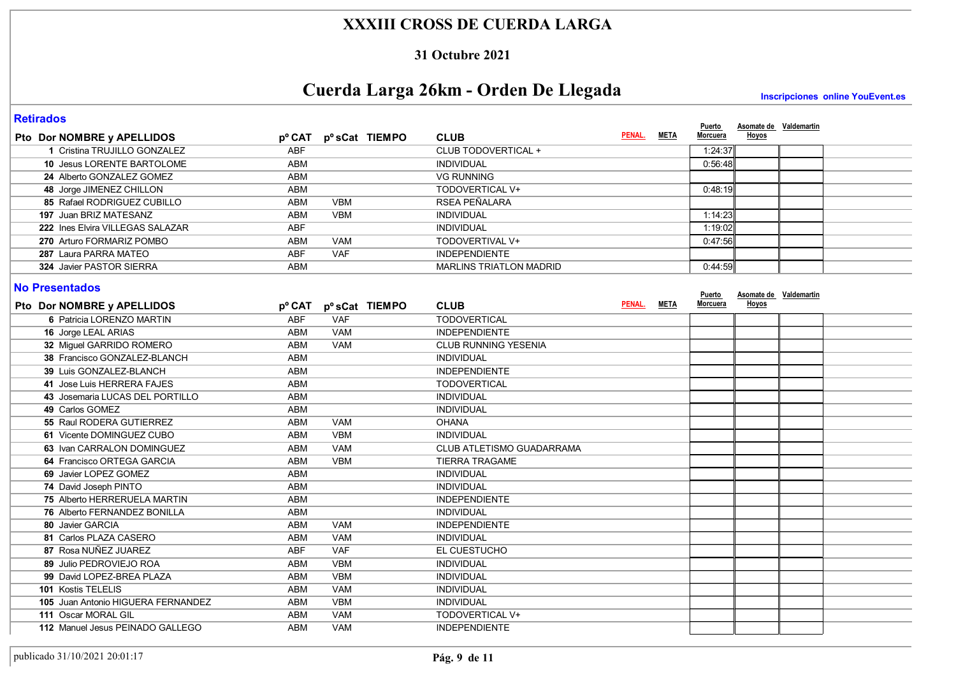#### **31 Octubre 2021**

# **Cuerda Larga 26km - Orden De Llegada**

**Inscripciones online YouEvent.es** 

**Asomate de Valdemartin**

**Puerto Morcuera Hoyos**

**PENAL.**

**META**

#### **Retirados**

**Pto** Dor NOMBRE y APELLIDOS **D**<sup>o</sup> CAT p<sup>o</sup> sCat TIEMPO CLUB

| Pto Dor NOMBRE y APELLIDOS                          | pº CAT     | p <sup>o</sup> sCat TIEMPO | <b>CLUB</b>                    | PENAL.      | <u>META</u> | <u>Morcuera</u>    | <b>Hoyos</b>                    |  |
|-----------------------------------------------------|------------|----------------------------|--------------------------------|-------------|-------------|--------------------|---------------------------------|--|
| 1 Cristina TRUJILLO GONZALEZ                        | <b>ABF</b> |                            | CLUB TODOVERTICAL +            |             |             | 1:24:37            |                                 |  |
| 10 Jesus LORENTE BARTOLOME                          | <b>ABM</b> |                            | <b>INDIVIDUAL</b>              |             |             | 0:56:48            |                                 |  |
| 24 Alberto GONZALEZ GOMEZ                           | <b>ABM</b> |                            | <b>VG RUNNING</b>              |             |             |                    |                                 |  |
| 48 Jorge JIMENEZ CHILLON                            | <b>ABM</b> |                            | TODOVERTICAL V+                |             |             | 0.48.19            |                                 |  |
| 85 Rafael RODRIGUEZ CUBILLO                         | <b>ABM</b> | <b>VBM</b>                 | RSEA PEÑALARA                  |             |             |                    |                                 |  |
| 197 Juan BRIZ MATESANZ                              | <b>ABM</b> | <b>VBM</b>                 | <b>INDIVIDUAL</b>              |             |             | 1:14:23            |                                 |  |
| 222 Ines Elvira VILLEGAS SALAZAR                    | <b>ABF</b> |                            | INDIVIDUAL                     |             |             | 1:19:02            |                                 |  |
| 270 Arturo FORMARIZ POMBO                           | <b>ABM</b> | <b>VAM</b>                 | TODOVERTIVAL V+                |             |             | 0:47:56            |                                 |  |
| 287 Laura PARRA MATEO                               | <b>ABF</b> | <b>VAF</b>                 | <b>INDEPENDIENTE</b>           |             |             |                    |                                 |  |
| 324 Javier PASTOR SIERRA                            | <b>ABM</b> |                            | <b>MARLINS TRIATLON MADRID</b> |             |             | 0:44:59            |                                 |  |
| <b>No Presentados</b><br>Pto Dor NOMBRE y APELLIDOS | pº CAT     | pºsCat TIEMPO              | <b>CLUB</b>                    | PENAL. META |             | Puerto<br>Morcuera | Asomate de Valdemartin<br>Hoyos |  |
| 6 Patricia LORENZO MARTIN                           | <b>ABF</b> | <b>VAF</b>                 | <b>TODOVERTICAL</b>            |             |             |                    |                                 |  |
| 16 Jorge LEAL ARIAS                                 | <b>ABM</b> | <b>VAM</b>                 | <b>INDEPENDIENTE</b>           |             |             |                    |                                 |  |
| 32 Miguel GARRIDO ROMERO                            | <b>ABM</b> | <b>VAM</b>                 | <b>CLUB RUNNING YESENIA</b>    |             |             |                    |                                 |  |
| 38 Francisco GONZALEZ-BLANCH                        | <b>ABM</b> |                            | <b>INDIVIDUAL</b>              |             |             |                    |                                 |  |
| 39 Luis GONZALEZ-BLANCH                             | <b>ABM</b> |                            | <b>INDEPENDIENTE</b>           |             |             |                    |                                 |  |
| 41 Jose Luis HERRERA FAJES                          | <b>ABM</b> |                            | <b>TODOVERTICAL</b>            |             |             |                    |                                 |  |
| 43 Josemaria LUCAS DEL PORTILLO                     | <b>ABM</b> |                            | <b>INDIVIDUAL</b>              |             |             |                    |                                 |  |
| 49 Carlos GOMEZ                                     | <b>ABM</b> |                            | <b>INDIVIDUAL</b>              |             |             |                    |                                 |  |
| 55 Raul RODERA GUTIERREZ                            | <b>ABM</b> | <b>VAM</b>                 | <b>OHANA</b>                   |             |             |                    |                                 |  |
| 61 Vicente DOMINGUEZ CUBO                           | <b>ABM</b> | <b>VBM</b>                 | <b>INDIVIDUAL</b>              |             |             |                    |                                 |  |
| 63 Ivan CARRALON DOMINGUEZ                          | <b>ABM</b> | <b>VAM</b>                 | CLUB ATLETISMO GUADARRAMA      |             |             |                    |                                 |  |
| 64 Francisco ORTEGA GARCIA                          | <b>ABM</b> | <b>VBM</b>                 | <b>TIERRA TRAGAME</b>          |             |             |                    |                                 |  |
| 69 Javier LOPEZ GOMEZ                               | <b>ABM</b> |                            | <b>INDIVIDUAL</b>              |             |             |                    |                                 |  |
| 74 David Joseph PINTO                               | ABM        |                            | <b>INDIVIDUAL</b>              |             |             |                    |                                 |  |
| 75 Alberto HERRERUELA MARTIN                        | <b>ABM</b> |                            | <b>INDEPENDIENTE</b>           |             |             |                    |                                 |  |
| 76 Alberto FERNANDEZ BONILLA                        | <b>ABM</b> |                            | <b>INDIVIDUAL</b>              |             |             |                    |                                 |  |
| 80 Javier GARCIA                                    | <b>ABM</b> | <b>VAM</b>                 | <b>INDEPENDIENTE</b>           |             |             |                    |                                 |  |
| 81 Carlos PLAZA CASERO                              | <b>ABM</b> | <b>VAM</b>                 | <b>INDIVIDUAL</b>              |             |             |                    |                                 |  |
| 87 Rosa NUÑEZ JUAREZ                                | <b>ABF</b> | <b>VAF</b>                 | EL CUESTUCHO                   |             |             |                    |                                 |  |
| 89 Julio PEDROVIEJO ROA                             | <b>ABM</b> | <b>VBM</b>                 | INDIVIDUAL                     |             |             |                    |                                 |  |
| 99 David LOPEZ-BREA PLAZA                           | <b>ABM</b> | <b>VBM</b>                 | <b>INDIVIDUAL</b>              |             |             |                    |                                 |  |
| 101 Kostis TELELIS                                  | <b>ABM</b> | <b>VAM</b>                 | INDIVIDUAL                     |             |             |                    |                                 |  |
| 105 Juan Antonio HIGUERA FERNANDEZ                  | ABM        | <b>VBM</b>                 | <b>INDIVIDUAL</b>              |             |             |                    |                                 |  |
| 111 Oscar MORAL GIL                                 | <b>ABM</b> | <b>VAM</b>                 | TODOVERTICAL V+                |             |             |                    |                                 |  |
| 112 Manuel Jesus PEINADO GALLEGO                    | <b>ABM</b> | <b>VAM</b>                 | <b>INDEPENDIENTE</b>           |             |             |                    |                                 |  |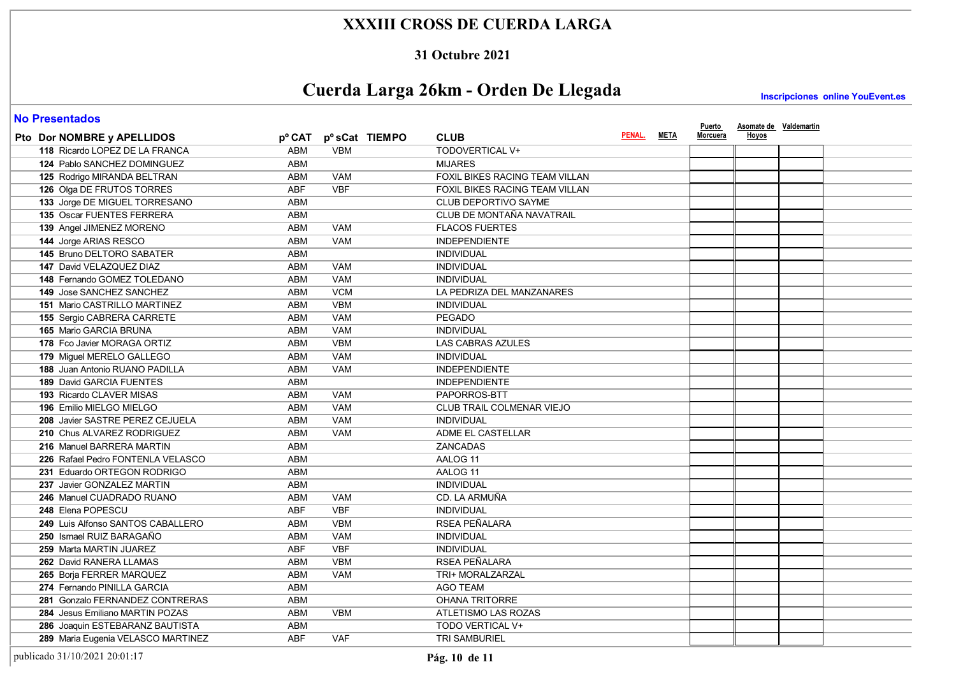#### **31 Octubre 2021**

# **Cuerda Larga 26km - Orden De Llegada**

**Inscripciones online YouEvent.es** 

#### **No Presentados**

| <b>ITO LIGOGRAMUS</b>                 |            |            |                |                                |             | <b>Puerto</b>   | Asomate de Valdemartin |  |
|---------------------------------------|------------|------------|----------------|--------------------------------|-------------|-----------------|------------------------|--|
| Pto Dor NOMBRE y APELLIDOS            | pº CAT     |            | pº sCat TIEMPO | <b>CLUB</b>                    | PENAL. META | <u>Morcuera</u> | Hoyos                  |  |
| 118 Ricardo LOPEZ DE LA FRANCA        | ABM        | <b>VBM</b> |                | <b>TODOVERTICAL V+</b>         |             |                 |                        |  |
| 124 Pablo SANCHEZ DOMINGUEZ           | <b>ABM</b> |            |                | <b>MIJARES</b>                 |             |                 |                        |  |
| 125 Rodrigo MIRANDA BELTRAN           | <b>ABM</b> | <b>VAM</b> |                | FOXIL BIKES RACING TEAM VILLAN |             |                 |                        |  |
| 126 Olga DE FRUTOS TORRES             | <b>ABF</b> | <b>VBF</b> |                | FOXIL BIKES RACING TEAM VILLAN |             |                 |                        |  |
| 133 Jorge DE MIGUEL TORRESANO         | <b>ABM</b> |            |                | CLUB DEPORTIVO SAYME           |             |                 |                        |  |
| 135 Oscar FUENTES FERRERA             | <b>ABM</b> |            |                | CLUB DE MONTAÑA NAVATRAIL      |             |                 |                        |  |
| 139 Angel JIMENEZ MORENO              | <b>ABM</b> | <b>VAM</b> |                | <b>FLACOS FUERTES</b>          |             |                 |                        |  |
| 144 Jorge ARIAS RESCO                 | <b>ABM</b> | <b>VAM</b> |                | <b>INDEPENDIENTE</b>           |             |                 |                        |  |
| 145 Bruno DELTORO SABATER             | <b>ABM</b> |            |                | <b>INDIVIDUAL</b>              |             |                 |                        |  |
| 147 David VELAZQUEZ DIAZ              | <b>ABM</b> | <b>VAM</b> |                | <b>INDIVIDUAL</b>              |             |                 |                        |  |
| 148 Fernando GOMEZ TOLEDANO           | <b>ABM</b> | <b>VAM</b> |                | <b>INDIVIDUAL</b>              |             |                 |                        |  |
| 149 Jose SANCHEZ SANCHEZ              | <b>ABM</b> | <b>VCM</b> |                | LA PEDRIZA DEL MANZANARES      |             |                 |                        |  |
| <b>151 Mario CASTRILLO MARTINEZ</b>   | <b>ABM</b> | <b>VBM</b> |                | <b>INDIVIDUAL</b>              |             |                 |                        |  |
| 155 Sergio CABRERA CARRETE            | <b>ABM</b> | <b>VAM</b> |                | <b>PEGADO</b>                  |             |                 |                        |  |
| <b>165 Mario GARCIA BRUNA</b>         | ABM        | <b>VAM</b> |                | <b>INDIVIDUAL</b>              |             |                 |                        |  |
| 178 Fco Javier MORAGA ORTIZ           | <b>ABM</b> | <b>VBM</b> |                | <b>LAS CABRAS AZULES</b>       |             |                 |                        |  |
| 179 Miquel MERELO GALLEGO             | <b>ABM</b> | <b>VAM</b> |                | <b>INDIVIDUAL</b>              |             |                 |                        |  |
| <b>188 Juan Antonio RUANO PADILLA</b> | ABM        | <b>VAM</b> |                | <b>INDEPENDIENTE</b>           |             |                 |                        |  |
| <b>189 David GARCIA FUENTES</b>       | <b>ABM</b> |            |                | <b>INDEPENDIENTE</b>           |             |                 |                        |  |
| <b>193 Ricardo CLAVER MISAS</b>       | <b>ABM</b> | <b>VAM</b> |                | PAPORROS-BTT                   |             |                 |                        |  |
| 196 Emilio MIELGO MIELGO              | <b>ABM</b> | <b>VAM</b> |                | CLUB TRAIL COLMENAR VIEJO      |             |                 |                        |  |
| 208 Javier SASTRE PEREZ CEJUELA       | <b>ABM</b> | <b>VAM</b> |                | <b>INDIVIDUAL</b>              |             |                 |                        |  |
| 210 Chus ALVAREZ RODRIGUEZ            | <b>ABM</b> | <b>VAM</b> |                | ADME EL CASTELLAR              |             |                 |                        |  |
| 216 Manuel BARRERA MARTIN             | <b>ABM</b> |            |                | <b>ZANCADAS</b>                |             |                 |                        |  |
| 226 Rafael Pedro FONTENLA VELASCO     | <b>ABM</b> |            |                | AALOG 11                       |             |                 |                        |  |
| 231 Eduardo ORTEGON RODRIGO           | <b>ABM</b> |            |                | AALOG 11                       |             |                 |                        |  |
| 237 Javier GONZALEZ MARTIN            | <b>ABM</b> |            |                | <b>INDIVIDUAL</b>              |             |                 |                        |  |
| 246 Manuel CUADRADO RUANO             | <b>ABM</b> | <b>VAM</b> |                | CD. LA ARMUÑA                  |             |                 |                        |  |
| 248 Elena POPESCU                     | <b>ABF</b> | <b>VBF</b> |                | <b>INDIVIDUAL</b>              |             |                 |                        |  |
| 249 Luis Alfonso SANTOS CABALLERO     | <b>ABM</b> | <b>VBM</b> |                | RSEA PEÑALARA                  |             |                 |                        |  |
| 250 Ismael RUIZ BARAGAÑO              | <b>ABM</b> | <b>VAM</b> |                | <b>INDIVIDUAL</b>              |             |                 |                        |  |
| 259 Marta MARTIN JUAREZ               | ABF        | <b>VBF</b> |                | <b>INDIVIDUAL</b>              |             |                 |                        |  |
| 262 David RANERA LLAMAS               | ABM        | <b>VBM</b> |                | RSEA PEÑALARA                  |             |                 |                        |  |
| 265 Borja FERRER MARQUEZ              | <b>ABM</b> | <b>VAM</b> |                | TRI+ MORALZARZAL               |             |                 |                        |  |
| 274 Fernando PINILLA GARCIA           | ABM        |            |                | <b>AGO TEAM</b>                |             |                 |                        |  |
| 281 Gonzalo FERNANDEZ CONTRERAS       | <b>ABM</b> |            |                | <b>OHANA TRITORRE</b>          |             |                 |                        |  |
| 284 Jesus Emiliano MARTIN POZAS       | <b>ABM</b> | <b>VBM</b> |                | ATLETISMO LAS ROZAS            |             |                 |                        |  |
| 286 Joaquin ESTEBARANZ BAUTISTA       | <b>ABM</b> |            |                | TODO VERTICAL V+               |             |                 |                        |  |
| 289 Maria Eugenia VELASCO MARTINEZ    | <b>ABF</b> | <b>VAF</b> |                | <b>TRI SAMBURIEL</b>           |             |                 |                        |  |

publicado 31/10/2021 20:01:17